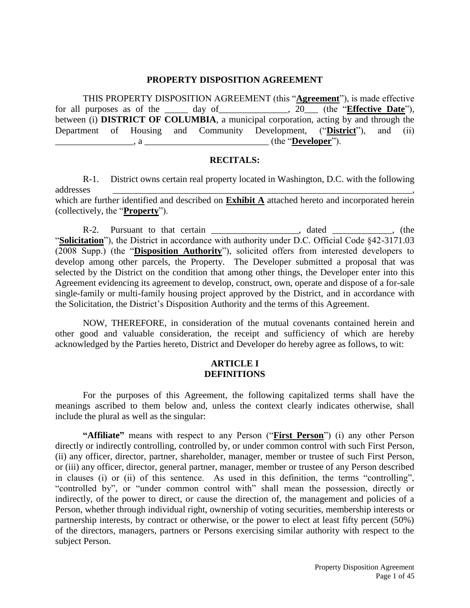#### **PROPERTY DISPOSITION AGREEMENT**

THIS PROPERTY DISPOSITION AGREEMENT (this "**Agreement**"), is made effective for all purposes as of the \_\_\_\_\_ day of\_\_\_\_\_\_\_\_\_\_\_\_\_\_\_, 20\_\_\_ (the "**Effective Date**"), between (i) **DISTRICT OF COLUMBIA**, a municipal corporation, acting by and through the Department of Housing and Community Development, ("**District**"), and (ii) \_\_\_\_\_\_\_\_\_\_\_\_\_\_\_\_\_, a \_\_\_\_\_\_\_\_\_\_\_\_\_\_\_\_\_\_\_\_\_\_\_\_\_\_\_ (the "**Developer**").

#### **RECITALS:**

R-1. District owns certain real property located in Washington, D.C. with the following addresses \_\_\_\_\_\_\_\_\_\_\_\_\_\_\_\_\_\_\_\_\_\_\_\_\_\_\_\_\_\_\_\_\_\_\_\_\_\_\_\_\_\_\_\_\_\_\_\_\_\_\_\_\_\_\_\_\_\_\_\_\_\_\_\_\_, which are further identified and described on **Exhibit A** attached hereto and incorporated herein (collectively, the "**Property**").

R-2. Pursuant to that certain \_\_\_\_\_\_\_\_\_\_\_\_\_\_\_\_\_, dated \_\_\_\_\_\_\_\_\_\_, (the "**Solicitation**"), the District in accordance with authority under D.C. Official Code §42-3171.03 (2008 Supp.) (the "**Disposition Authority**"), solicited offers from interested developers to develop among other parcels, the Property. The Developer submitted a proposal that was selected by the District on the condition that among other things, the Developer enter into this Agreement evidencing its agreement to develop, construct, own, operate and dispose of a for-sale single-family or multi-family housing project approved by the District, and in accordance with the Solicitation, the District's Disposition Authority and the terms of this Agreement.

NOW, THEREFORE, in consideration of the mutual covenants contained herein and other good and valuable consideration, the receipt and sufficiency of which are hereby acknowledged by the Parties hereto, District and Developer do hereby agree as follows, to wit:

#### **ARTICLE I DEFINITIONS**

For the purposes of this Agreement, the following capitalized terms shall have the meanings ascribed to them below and, unless the context clearly indicates otherwise, shall include the plural as well as the singular:

**"Affiliate"** means with respect to any Person ("**First Person**") (i) any other Person directly or indirectly controlling, controlled by, or under common control with such First Person, (ii) any officer, director, partner, shareholder, manager, member or trustee of such First Person, or (iii) any officer, director, general partner, manager, member or trustee of any Person described in clauses (i) or (ii) of this sentence. As used in this definition, the terms "controlling", "controlled by", or "under common control with" shall mean the possession, directly or indirectly, of the power to direct, or cause the direction of, the management and policies of a Person, whether through individual right, ownership of voting securities, membership interests or partnership interests, by contract or otherwise, or the power to elect at least fifty percent (50%) of the directors, managers, partners or Persons exercising similar authority with respect to the subject Person.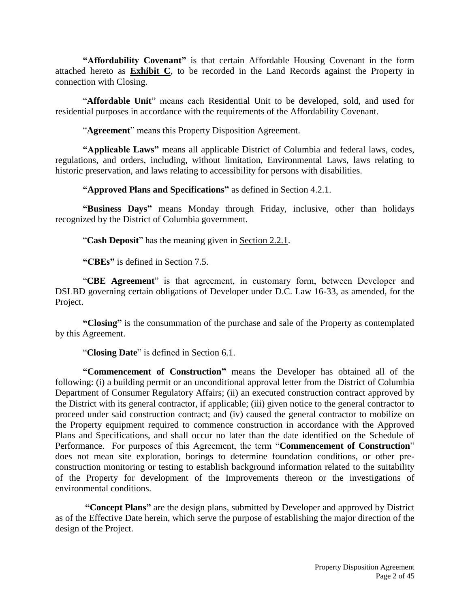**"Affordability Covenant"** is that certain Affordable Housing Covenant in the form attached hereto as **Exhibit C**, to be recorded in the Land Records against the Property in connection with Closing.

"**Affordable Unit**" means each Residential Unit to be developed, sold, and used for residential purposes in accordance with the requirements of the Affordability Covenant.

"**Agreement**" means this Property Disposition Agreement.

**"Applicable Laws"** means all applicable District of Columbia and federal laws, codes, regulations, and orders, including, without limitation, Environmental Laws, laws relating to historic preservation, and laws relating to accessibility for persons with disabilities.

**"Approved Plans and Specifications"** as defined in Section 4.2.1.

**"Business Days"** means Monday through Friday, inclusive, other than holidays recognized by the District of Columbia government.

"**Cash Deposit**" has the meaning given in Section 2.2.1.

**"CBEs"** is defined in Section 7.5.

"**CBE Agreement**" is that agreement, in customary form, between Developer and DSLBD governing certain obligations of Developer under D.C. Law 16-33, as amended, for the Project.

**"Closing"** is the consummation of the purchase and sale of the Property as contemplated by this Agreement.

"**Closing Date**" is defined in Section 6.1.

**"Commencement of Construction"** means the Developer has obtained all of the following: (i) a building permit or an unconditional approval letter from the District of Columbia Department of Consumer Regulatory Affairs; (ii) an executed construction contract approved by the District with its general contractor, if applicable; (iii) given notice to the general contractor to proceed under said construction contract; and (iv) caused the general contractor to mobilize on the Property equipment required to commence construction in accordance with the Approved Plans and Specifications, and shall occur no later than the date identified on the Schedule of Performance. For purposes of this Agreement, the term "**Commencement of Construction**" does not mean site exploration, borings to determine foundation conditions, or other preconstruction monitoring or testing to establish background information related to the suitability of the Property for development of the Improvements thereon or the investigations of environmental conditions.

**"Concept Plans"** are the design plans, submitted by Developer and approved by District as of the Effective Date herein, which serve the purpose of establishing the major direction of the design of the Project.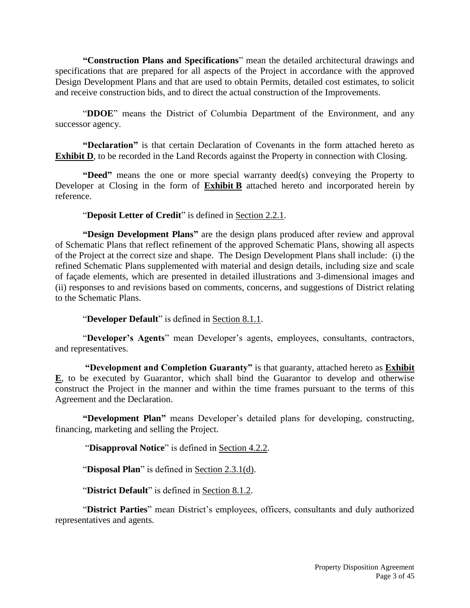**"Construction Plans and Specifications**" mean the detailed architectural drawings and specifications that are prepared for all aspects of the Project in accordance with the approved Design Development Plans and that are used to obtain Permits, detailed cost estimates, to solicit and receive construction bids, and to direct the actual construction of the Improvements.

"**DDOE**" means the District of Columbia Department of the Environment, and any successor agency.

**"Declaration"** is that certain Declaration of Covenants in the form attached hereto as **Exhibit D**, to be recorded in the Land Records against the Property in connection with Closing.

**"Deed"** means the one or more special warranty deed(s) conveying the Property to Developer at Closing in the form of **Exhibit B** attached hereto and incorporated herein by reference.

"**Deposit Letter of Credit**" is defined in Section 2.2.1.

**"Design Development Plans"** are the design plans produced after review and approval of Schematic Plans that reflect refinement of the approved Schematic Plans, showing all aspects of the Project at the correct size and shape. The Design Development Plans shall include: (i) the refined Schematic Plans supplemented with material and design details, including size and scale of façade elements, which are presented in detailed illustrations and 3-dimensional images and (ii) responses to and revisions based on comments, concerns, and suggestions of District relating to the Schematic Plans.

"**Developer Default**" is defined in Section 8.1.1.

"**Developer's Agents**" mean Developer's agents, employees, consultants, contractors, and representatives.

**"Development and Completion Guaranty"** is that guaranty, attached hereto as **Exhibit E**, to be executed by Guarantor, which shall bind the Guarantor to develop and otherwise construct the Project in the manner and within the time frames pursuant to the terms of this Agreement and the Declaration.

**"Development Plan"** means Developer's detailed plans for developing, constructing, financing, marketing and selling the Project.

"**Disapproval Notice**" is defined in Section 4.2.2.

"**Disposal Plan**" is defined in Section 2.3.1(d).

"**District Default**" is defined in Section 8.1.2.

"**District Parties**" mean District's employees, officers, consultants and duly authorized representatives and agents.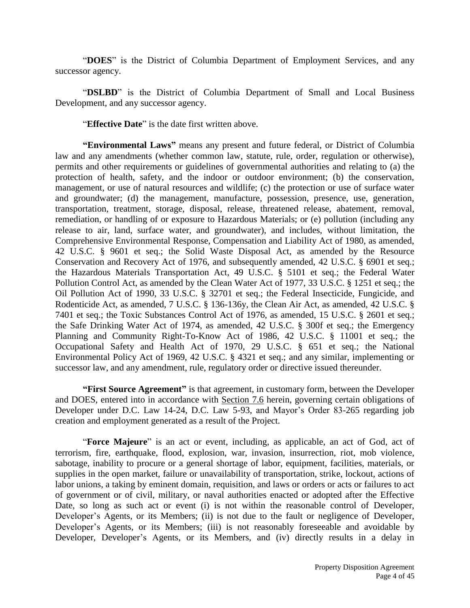"**DOES**" is the District of Columbia Department of Employment Services, and any successor agency.

"DSLBD" is the District of Columbia Department of Small and Local Business Development, and any successor agency.

"**Effective Date**" is the date first written above.

**"Environmental Laws"** means any present and future federal, or District of Columbia law and any amendments (whether common law, statute, rule, order, regulation or otherwise), permits and other requirements or guidelines of governmental authorities and relating to (a) the protection of health, safety, and the indoor or outdoor environment; (b) the conservation, management, or use of natural resources and wildlife; (c) the protection or use of surface water and groundwater; (d) the management, manufacture, possession, presence, use, generation, transportation, treatment, storage, disposal, release, threatened release, abatement, removal, remediation, or handling of or exposure to Hazardous Materials; or (e) pollution (including any release to air, land, surface water, and groundwater), and includes, without limitation, the Comprehensive Environmental Response, Compensation and Liability Act of 1980, as amended, 42 U.S.C. § 9601 et seq.; the Solid Waste Disposal Act, as amended by the Resource Conservation and Recovery Act of 1976, and subsequently amended, 42 U.S.C. § 6901 et seq.; the Hazardous Materials Transportation Act, 49 U.S.C. § 5101 et seq.; the Federal Water Pollution Control Act, as amended by the Clean Water Act of 1977, 33 U.S.C. § 1251 et seq.; the Oil Pollution Act of 1990, 33 U.S.C. § 32701 et seq.; the Federal Insecticide, Fungicide, and Rodenticide Act, as amended, 7 U.S.C. § 136-136y, the Clean Air Act, as amended, 42 U.S.C. § 7401 et seq.; the Toxic Substances Control Act of 1976, as amended, 15 U.S.C. § 2601 et seq.; the Safe Drinking Water Act of 1974, as amended, 42 U.S.C. § 300f et seq.; the Emergency Planning and Community Right-To-Know Act of 1986, 42 U.S.C. § 11001 et seq.; the Occupational Safety and Health Act of 1970, 29 U.S.C. § 651 et seq.; the National Environmental Policy Act of 1969, 42 U.S.C. § 4321 et seq.; and any similar, implementing or successor law, and any amendment, rule, regulatory order or directive issued thereunder.

**"First Source Agreement"** is that agreement, in customary form, between the Developer and DOES, entered into in accordance with Section 7.6 herein, governing certain obligations of Developer under D.C. Law 14-24, D.C. Law 5-93, and Mayor's Order 83-265 regarding job creation and employment generated as a result of the Project.

"**Force Majeure**" is an act or event, including, as applicable, an act of God, act of terrorism, fire, earthquake, flood, explosion, war, invasion, insurrection, riot, mob violence, sabotage, inability to procure or a general shortage of labor, equipment, facilities, materials, or supplies in the open market, failure or unavailability of transportation, strike, lockout, actions of labor unions, a taking by eminent domain, requisition, and laws or orders or acts or failures to act of government or of civil, military, or naval authorities enacted or adopted after the Effective Date, so long as such act or event (i) is not within the reasonable control of Developer, Developer's Agents, or its Members; (ii) is not due to the fault or negligence of Developer, Developer's Agents, or its Members; (iii) is not reasonably foreseeable and avoidable by Developer, Developer's Agents, or its Members, and (iv) directly results in a delay in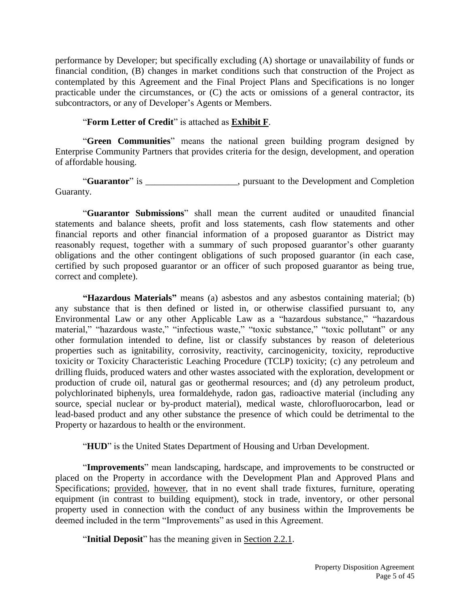performance by Developer; but specifically excluding (A) shortage or unavailability of funds or financial condition, (B) changes in market conditions such that construction of the Project as contemplated by this Agreement and the Final Project Plans and Specifications is no longer practicable under the circumstances, or (C) the acts or omissions of a general contractor, its subcontractors, or any of Developer's Agents or Members.

# "**Form Letter of Credit**" is attached as **Exhibit F**.

"**Green Communities**" means the national green building program designed by Enterprise Community Partners that provides criteria for the design, development, and operation of affordable housing.

"**Guarantor**" is \_\_\_\_\_\_\_\_\_\_\_\_\_\_\_\_\_\_\_\_, pursuant to the Development and Completion Guaranty.

"**Guarantor Submissions**" shall mean the current audited or unaudited financial statements and balance sheets, profit and loss statements, cash flow statements and other financial reports and other financial information of a proposed guarantor as District may reasonably request, together with a summary of such proposed guarantor's other guaranty obligations and the other contingent obligations of such proposed guarantor (in each case, certified by such proposed guarantor or an officer of such proposed guarantor as being true, correct and complete).

**"Hazardous Materials"** means (a) asbestos and any asbestos containing material; (b) any substance that is then defined or listed in, or otherwise classified pursuant to, any Environmental Law or any other Applicable Law as a "hazardous substance," "hazardous material," "hazardous waste," "infectious waste," "toxic substance," "toxic pollutant" or any other formulation intended to define, list or classify substances by reason of deleterious properties such as ignitability, corrosivity, reactivity, carcinogenicity, toxicity, reproductive toxicity or Toxicity Characteristic Leaching Procedure (TCLP) toxicity; (c) any petroleum and drilling fluids, produced waters and other wastes associated with the exploration, development or production of crude oil, natural gas or geothermal resources; and (d) any petroleum product, polychlorinated biphenyls, urea formaldehyde, radon gas, radioactive material (including any source, special nuclear or by-product material), medical waste, chlorofluorocarbon, lead or lead-based product and any other substance the presence of which could be detrimental to the Property or hazardous to health or the environment.

"**HUD**" is the United States Department of Housing and Urban Development.

"**Improvements**" mean landscaping, hardscape, and improvements to be constructed or placed on the Property in accordance with the Development Plan and Approved Plans and Specifications; provided, however, that in no event shall trade fixtures, furniture, operating equipment (in contrast to building equipment), stock in trade, inventory, or other personal property used in connection with the conduct of any business within the Improvements be deemed included in the term "Improvements" as used in this Agreement.

"**Initial Deposit**" has the meaning given in Section 2.2.1.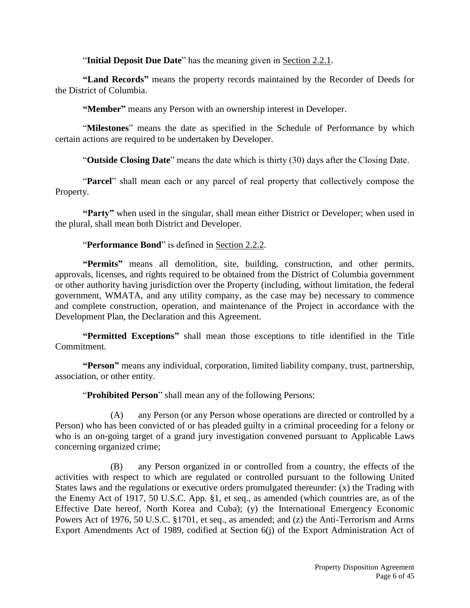"**Initial Deposit Due Date**" has the meaning given in Section 2.2.1.

**"Land Records"** means the property records maintained by the Recorder of Deeds for the District of Columbia.

**"Member"** means any Person with an ownership interest in Developer.

"**Milestones**" means the date as specified in the Schedule of Performance by which certain actions are required to be undertaken by Developer.

"**Outside Closing Date**" means the date which is thirty (30) days after the Closing Date.

"**Parcel**" shall mean each or any parcel of real property that collectively compose the Property.

**"Party"** when used in the singular, shall mean either District or Developer; when used in the plural, shall mean both District and Developer.

# "**Performance Bond**" is defined in Section 2.2.2.

**"Permits"** means all demolition, site, building, construction, and other permits, approvals, licenses, and rights required to be obtained from the District of Columbia government or other authority having jurisdiction over the Property (including, without limitation, the federal government, WMATA, and any utility company, as the case may be) necessary to commence and complete construction, operation, and maintenance of the Project in accordance with the Development Plan, the Declaration and this Agreement.

**"Permitted Exceptions"** shall mean those exceptions to title identified in the Title Commitment.

**"Person"** means any individual, corporation, limited liability company, trust, partnership, association, or other entity.

"**Prohibited Person**" shall mean any of the following Persons:

(A) any Person (or any Person whose operations are directed or controlled by a Person) who has been convicted of or has pleaded guilty in a criminal proceeding for a felony or who is an on-going target of a grand jury investigation convened pursuant to Applicable Laws concerning organized crime;

(B) any Person organized in or controlled from a country, the effects of the activities with respect to which are regulated or controlled pursuant to the following United States laws and the regulations or executive orders promulgated thereunder: (x) the Trading with the Enemy Act of 1917, 50 U.S.C. App. §1, et seq., as amended (which countries are, as of the Effective Date hereof, North Korea and Cuba); (y) the International Emergency Economic Powers Act of 1976, 50 U.S.C. §1701, et seq., as amended; and (z) the Anti-Terrorism and Arms Export Amendments Act of 1989, codified at Section 6(j) of the Export Administration Act of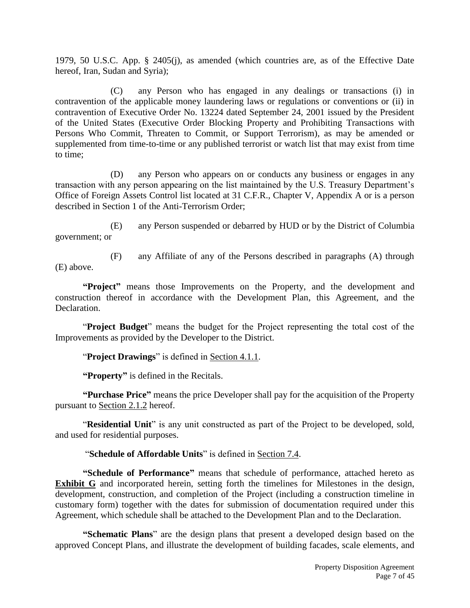1979, 50 U.S.C. App. § 2405(j), as amended (which countries are, as of the Effective Date hereof, Iran, Sudan and Syria);

(C) any Person who has engaged in any dealings or transactions (i) in contravention of the applicable money laundering laws or regulations or conventions or (ii) in contravention of Executive Order No. 13224 dated September 24, 2001 issued by the President of the United States (Executive Order Blocking Property and Prohibiting Transactions with Persons Who Commit, Threaten to Commit, or Support Terrorism), as may be amended or supplemented from time-to-time or any published terrorist or watch list that may exist from time to time;

(D) any Person who appears on or conducts any business or engages in any transaction with any person appearing on the list maintained by the U.S. Treasury Department's Office of Foreign Assets Control list located at 31 C.F.R., Chapter V, Appendix A or is a person described in Section 1 of the Anti-Terrorism Order;

(E) any Person suspended or debarred by HUD or by the District of Columbia government; or

(E) above.

(F) any Affiliate of any of the Persons described in paragraphs (A) through

**"Project"** means those Improvements on the Property, and the development and construction thereof in accordance with the Development Plan, this Agreement, and the Declaration.

"**Project Budget**" means the budget for the Project representing the total cost of the Improvements as provided by the Developer to the District.

"**Project Drawings**" is defined in Section 4.1.1.

**"Property"** is defined in the Recitals.

**"Purchase Price"** means the price Developer shall pay for the acquisition of the Property pursuant to Section 2.1.2 hereof.

"**Residential Unit**" is any unit constructed as part of the Project to be developed, sold, and used for residential purposes.

# "**Schedule of Affordable Units**" is defined in Section 7.4.

**"Schedule of Performance"** means that schedule of performance, attached hereto as **Exhibit G** and incorporated herein, setting forth the timelines for Milestones in the design, development, construction, and completion of the Project (including a construction timeline in customary form) together with the dates for submission of documentation required under this Agreement, which schedule shall be attached to the Development Plan and to the Declaration.

**"Schematic Plans**" are the design plans that present a developed design based on the approved Concept Plans, and illustrate the development of building facades, scale elements, and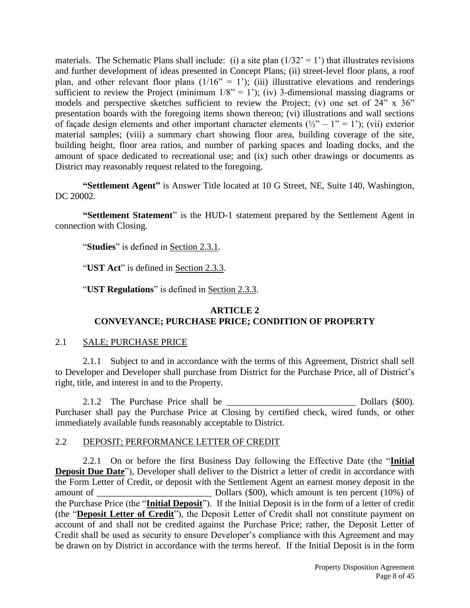materials. The Schematic Plans shall include: (i) a site plan  $(1/32^{\degree} = 1^{\degree})$  that illustrates revisions and further development of ideas presented in Concept Plans; (ii) street-level floor plans, a roof plan, and other relevant floor plans  $(1/16" = 1')$ ; (iii) illustrative elevations and renderings sufficient to review the Project (minimum  $1/8$ " = 1'); (iv) 3-dimensional massing diagrams or models and perspective sketches sufficient to review the Project; (v) one set of  $24$ " x  $36$ " presentation boards with the foregoing items shown thereon; (vi) illustrations and wall sections of façade design elements and other important character elements  $(\frac{1}{2} - 1) = 1$ ; (vii) exterior material samples; (viii) a summary chart showing floor area, building coverage of the site, building height, floor area ratios, and number of parking spaces and loading docks, and the amount of space dedicated to recreational use; and (ix) such other drawings or documents as District may reasonably request related to the foregoing.

**"Settlement Agent"** is Answer Title located at 10 G Street, NE, Suite 140, Washington, DC 20002.

**"Settlement Statement**" is the HUD-1 statement prepared by the Settlement Agent in connection with Closing.

"**Studies**" is defined in Section 2.3.1.

"**UST Act**" is defined in Section 2.3.3.

"**UST Regulations**" is defined in Section 2.3.3.

# **ARTICLE 2 CONVEYANCE; PURCHASE PRICE; CONDITION OF PROPERTY**

# 2.1 SALE; PURCHASE PRICE

2.1.1 Subject to and in accordance with the terms of this Agreement, District shall sell to Developer and Developer shall purchase from District for the Purchase Price, all of District's right, title, and interest in and to the Property.

2.1.2 The Purchase Price shall be \_\_\_\_\_\_\_\_\_\_\_\_\_\_\_\_\_\_\_\_\_\_\_\_\_\_\_\_ Dollars (\$00). Purchaser shall pay the Purchase Price at Closing by certified check, wired funds, or other immediately available funds reasonably acceptable to District.

# 2.2 DEPOSIT; PERFORMANCE LETTER OF CREDIT

2.2.1 On or before the first Business Day following the Effective Date (the "**Initial Deposit Due Date**"), Developer shall deliver to the District a letter of credit in accordance with the Form Letter of Credit, or deposit with the Settlement Agent an earnest money deposit in the amount of \_\_\_\_\_\_\_\_\_\_\_\_\_\_\_\_\_\_\_\_\_\_\_\_\_ Dollars (\$00), which amount is ten percent (10%) of the Purchase Price (the "**Initial Deposit**"). If the Initial Deposit is in the form of a letter of credit (the "**Deposit Letter of Credit**"), the Deposit Letter of Credit shall not constitute payment on account of and shall not be credited against the Purchase Price; rather, the Deposit Letter of Credit shall be used as security to ensure Developer's compliance with this Agreement and may be drawn on by District in accordance with the terms hereof. If the Initial Deposit is in the form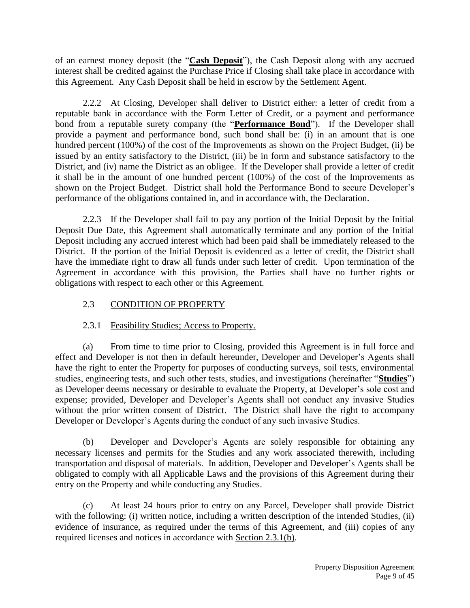of an earnest money deposit (the "**Cash Deposit**"), the Cash Deposit along with any accrued interest shall be credited against the Purchase Price if Closing shall take place in accordance with this Agreement. Any Cash Deposit shall be held in escrow by the Settlement Agent.

2.2.2 At Closing, Developer shall deliver to District either: a letter of credit from a reputable bank in accordance with the Form Letter of Credit, or a payment and performance bond from a reputable surety company (the "**Performance Bond**"). If the Developer shall provide a payment and performance bond, such bond shall be: (i) in an amount that is one hundred percent (100%) of the cost of the Improvements as shown on the Project Budget, (ii) be issued by an entity satisfactory to the District, (iii) be in form and substance satisfactory to the District, and (iv) name the District as an obligee. If the Developer shall provide a letter of credit it shall be in the amount of one hundred percent (100%) of the cost of the Improvements as shown on the Project Budget. District shall hold the Performance Bond to secure Developer's performance of the obligations contained in, and in accordance with, the Declaration.

2.2.3 If the Developer shall fail to pay any portion of the Initial Deposit by the Initial Deposit Due Date, this Agreement shall automatically terminate and any portion of the Initial Deposit including any accrued interest which had been paid shall be immediately released to the District. If the portion of the Initial Deposit is evidenced as a letter of credit, the District shall have the immediate right to draw all funds under such letter of credit. Upon termination of the Agreement in accordance with this provision, the Parties shall have no further rights or obligations with respect to each other or this Agreement.

# 2.3 CONDITION OF PROPERTY

# 2.3.1 Feasibility Studies; Access to Property.

(a) From time to time prior to Closing, provided this Agreement is in full force and effect and Developer is not then in default hereunder, Developer and Developer's Agents shall have the right to enter the Property for purposes of conducting surveys, soil tests, environmental studies, engineering tests, and such other tests, studies, and investigations (hereinafter "**Studies**") as Developer deems necessary or desirable to evaluate the Property, at Developer's sole cost and expense; provided, Developer and Developer's Agents shall not conduct any invasive Studies without the prior written consent of District. The District shall have the right to accompany Developer or Developer's Agents during the conduct of any such invasive Studies.

(b) Developer and Developer's Agents are solely responsible for obtaining any necessary licenses and permits for the Studies and any work associated therewith, including transportation and disposal of materials. In addition, Developer and Developer's Agents shall be obligated to comply with all Applicable Laws and the provisions of this Agreement during their entry on the Property and while conducting any Studies.

(c) At least 24 hours prior to entry on any Parcel, Developer shall provide District with the following: (i) written notice, including a written description of the intended Studies, (ii) evidence of insurance, as required under the terms of this Agreement, and (iii) copies of any required licenses and notices in accordance with Section 2.3.1(b).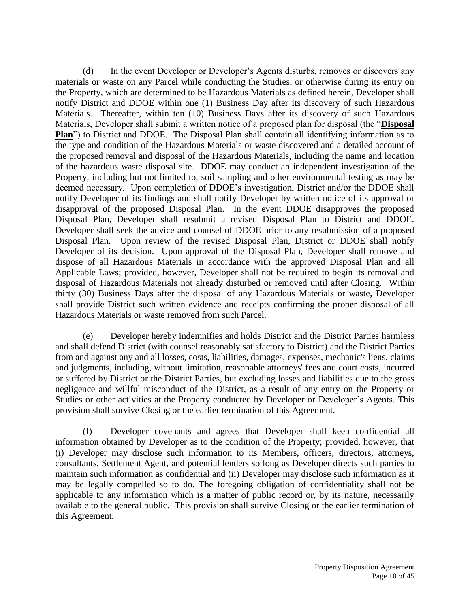(d) In the event Developer or Developer's Agents disturbs, removes or discovers any materials or waste on any Parcel while conducting the Studies, or otherwise during its entry on the Property, which are determined to be Hazardous Materials as defined herein, Developer shall notify District and DDOE within one (1) Business Day after its discovery of such Hazardous Materials. Thereafter, within ten (10) Business Days after its discovery of such Hazardous Materials, Developer shall submit a written notice of a proposed plan for disposal (the "**Disposal Plan**") to District and DDOE. The Disposal Plan shall contain all identifying information as to the type and condition of the Hazardous Materials or waste discovered and a detailed account of the proposed removal and disposal of the Hazardous Materials, including the name and location of the hazardous waste disposal site. DDOE may conduct an independent investigation of the Property, including but not limited to, soil sampling and other environmental testing as may be deemed necessary. Upon completion of DDOE's investigation, District and/or the DDOE shall notify Developer of its findings and shall notify Developer by written notice of its approval or disapproval of the proposed Disposal Plan. In the event DDOE disapproves the proposed Disposal Plan, Developer shall resubmit a revised Disposal Plan to District and DDOE. Developer shall seek the advice and counsel of DDOE prior to any resubmission of a proposed Disposal Plan. Upon review of the revised Disposal Plan, District or DDOE shall notify Developer of its decision. Upon approval of the Disposal Plan, Developer shall remove and dispose of all Hazardous Materials in accordance with the approved Disposal Plan and all Applicable Laws; provided, however, Developer shall not be required to begin its removal and disposal of Hazardous Materials not already disturbed or removed until after Closing. Within thirty (30) Business Days after the disposal of any Hazardous Materials or waste, Developer shall provide District such written evidence and receipts confirming the proper disposal of all Hazardous Materials or waste removed from such Parcel.

(e) Developer hereby indemnifies and holds District and the District Parties harmless and shall defend District (with counsel reasonably satisfactory to District) and the District Parties from and against any and all losses, costs, liabilities, damages, expenses, mechanic's liens, claims and judgments, including, without limitation, reasonable attorneys' fees and court costs, incurred or suffered by District or the District Parties, but excluding losses and liabilities due to the gross negligence and willful misconduct of the District, as a result of any entry on the Property or Studies or other activities at the Property conducted by Developer or Developer's Agents. This provision shall survive Closing or the earlier termination of this Agreement.

(f) Developer covenants and agrees that Developer shall keep confidential all information obtained by Developer as to the condition of the Property; provided, however, that (i) Developer may disclose such information to its Members, officers, directors, attorneys, consultants, Settlement Agent, and potential lenders so long as Developer directs such parties to maintain such information as confidential and (ii) Developer may disclose such information as it may be legally compelled so to do. The foregoing obligation of confidentiality shall not be applicable to any information which is a matter of public record or, by its nature, necessarily available to the general public. This provision shall survive Closing or the earlier termination of this Agreement.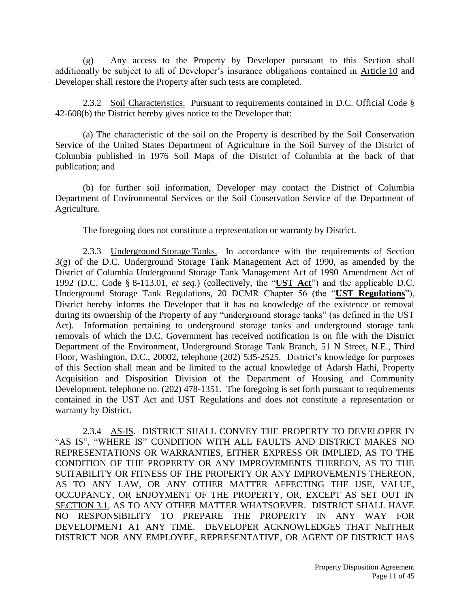(g) Any access to the Property by Developer pursuant to this Section shall additionally be subject to all of Developer's insurance obligations contained in Article 10 and Developer shall restore the Property after such tests are completed.

2.3.2 Soil Characteristics. Pursuant to requirements contained in D.C. Official Code § 42-608(b) the District hereby gives notice to the Developer that:

(a) The characteristic of the soil on the Property is described by the Soil Conservation Service of the United States Department of Agriculture in the Soil Survey of the District of Columbia published in 1976 Soil Maps of the District of Columbia at the back of that publication; and

(b) for further soil information, Developer may contact the District of Columbia Department of Environmental Services or the Soil Conservation Service of the Department of Agriculture.

The foregoing does not constitute a representation or warranty by District.

2.3.3 Underground Storage Tanks. In accordance with the requirements of Section 3(g) of the D.C. Underground Storage Tank Management Act of 1990, as amended by the District of Columbia Underground Storage Tank Management Act of 1990 Amendment Act of 1992 (D.C. Code § 8-113.01, *et seq*.) (collectively, the "**UST Act**") and the applicable D.C. Underground Storage Tank Regulations, 20 DCMR Chapter 56 (the "**UST Regulations**"), District hereby informs the Developer that it has no knowledge of the existence or removal during its ownership of the Property of any "underground storage tanks" (as defined in the UST Act). Information pertaining to underground storage tanks and underground storage tank removals of which the D.C. Government has received notification is on file with the District Department of the Environment, Underground Storage Tank Branch, 51 N Street, N.E., Third Floor, Washington, D.C., 20002, telephone (202) 535-2525. District's knowledge for purposes of this Section shall mean and be limited to the actual knowledge of Adarsh Hathi, Property Acquisition and Disposition Division of the Department of Housing and Community Development, telephone no. (202) 478-1351. The foregoing is set forth pursuant to requirements contained in the UST Act and UST Regulations and does not constitute a representation or warranty by District.

2.3.4 AS-IS. DISTRICT SHALL CONVEY THE PROPERTY TO DEVELOPER IN "AS IS", "WHERE IS" CONDITION WITH ALL FAULTS AND DISTRICT MAKES NO REPRESENTATIONS OR WARRANTIES, EITHER EXPRESS OR IMPLIED, AS TO THE CONDITION OF THE PROPERTY OR ANY IMPROVEMENTS THEREON, AS TO THE SUITABILITY OR FITNESS OF THE PROPERTY OR ANY IMPROVEMENTS THEREON, AS TO ANY LAW, OR ANY OTHER MATTER AFFECTING THE USE, VALUE, OCCUPANCY, OR ENJOYMENT OF THE PROPERTY, OR, EXCEPT AS SET OUT IN SECTION 3.1, AS TO ANY OTHER MATTER WHATSOEVER. DISTRICT SHALL HAVE NO RESPONSIBILITY TO PREPARE THE PROPERTY IN ANY WAY FOR DEVELOPMENT AT ANY TIME. DEVELOPER ACKNOWLEDGES THAT NEITHER DISTRICT NOR ANY EMPLOYEE, REPRESENTATIVE, OR AGENT OF DISTRICT HAS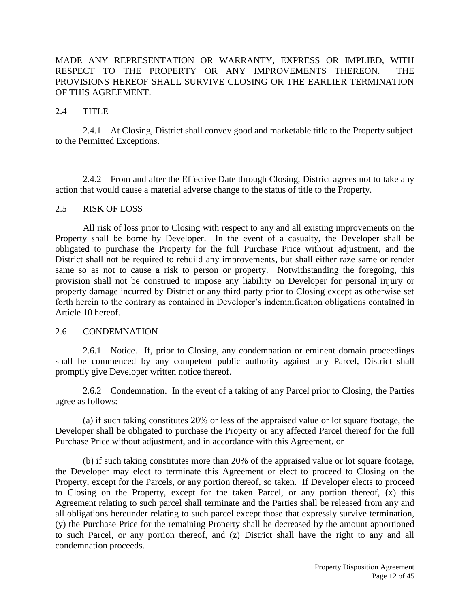## MADE ANY REPRESENTATION OR WARRANTY, EXPRESS OR IMPLIED, WITH RESPECT TO THE PROPERTY OR ANY IMPROVEMENTS THEREON. THE PROVISIONS HEREOF SHALL SURVIVE CLOSING OR THE EARLIER TERMINATION OF THIS AGREEMENT.

### 2.4 TITLE

2.4.1 At Closing, District shall convey good and marketable title to the Property subject to the Permitted Exceptions.

2.4.2 From and after the Effective Date through Closing, District agrees not to take any action that would cause a material adverse change to the status of title to the Property.

#### 2.5 RISK OF LOSS

All risk of loss prior to Closing with respect to any and all existing improvements on the Property shall be borne by Developer. In the event of a casualty, the Developer shall be obligated to purchase the Property for the full Purchase Price without adjustment, and the District shall not be required to rebuild any improvements, but shall either raze same or render same so as not to cause a risk to person or property. Notwithstanding the foregoing, this provision shall not be construed to impose any liability on Developer for personal injury or property damage incurred by District or any third party prior to Closing except as otherwise set forth herein to the contrary as contained in Developer's indemnification obligations contained in Article 10 hereof.

#### 2.6 CONDEMNATION

2.6.1 Notice. If, prior to Closing, any condemnation or eminent domain proceedings shall be commenced by any competent public authority against any Parcel, District shall promptly give Developer written notice thereof.

2.6.2 Condemnation. In the event of a taking of any Parcel prior to Closing, the Parties agree as follows:

(a) if such taking constitutes 20% or less of the appraised value or lot square footage, the Developer shall be obligated to purchase the Property or any affected Parcel thereof for the full Purchase Price without adjustment, and in accordance with this Agreement, or

(b) if such taking constitutes more than 20% of the appraised value or lot square footage, the Developer may elect to terminate this Agreement or elect to proceed to Closing on the Property, except for the Parcels, or any portion thereof, so taken. If Developer elects to proceed to Closing on the Property, except for the taken Parcel, or any portion thereof, (x) this Agreement relating to such parcel shall terminate and the Parties shall be released from any and all obligations hereunder relating to such parcel except those that expressly survive termination, (y) the Purchase Price for the remaining Property shall be decreased by the amount apportioned to such Parcel, or any portion thereof, and (z) District shall have the right to any and all condemnation proceeds.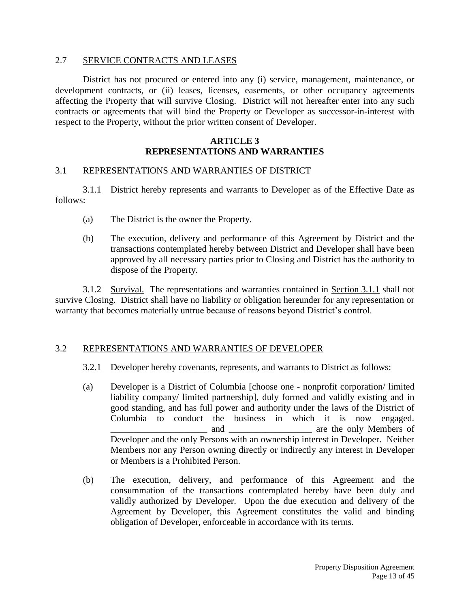#### 2.7 SERVICE CONTRACTS AND LEASES

District has not procured or entered into any (i) service, management, maintenance, or development contracts, or (ii) leases, licenses, easements, or other occupancy agreements affecting the Property that will survive Closing. District will not hereafter enter into any such contracts or agreements that will bind the Property or Developer as successor-in-interest with respect to the Property, without the prior written consent of Developer.

## **ARTICLE 3 REPRESENTATIONS AND WARRANTIES**

#### 3.1 REPRESENTATIONS AND WARRANTIES OF DISTRICT

3.1.1 District hereby represents and warrants to Developer as of the Effective Date as follows:

- (a) The District is the owner the Property.
- (b) The execution, delivery and performance of this Agreement by District and the transactions contemplated hereby between District and Developer shall have been approved by all necessary parties prior to Closing and District has the authority to dispose of the Property.

3.1.2 Survival. The representations and warranties contained in Section 3.1.1 shall not survive Closing. District shall have no liability or obligation hereunder for any representation or warranty that becomes materially untrue because of reasons beyond District's control.

#### 3.2 REPRESENTATIONS AND WARRANTIES OF DEVELOPER

- 3.2.1 Developer hereby covenants, represents, and warrants to District as follows:
- (a) Developer is a District of Columbia [choose one nonprofit corporation/ limited liability company/ limited partnership], duly formed and validly existing and in good standing, and has full power and authority under the laws of the District of Columbia to conduct the business in which it is now engaged. and are the only Members of Developer and the only Persons with an ownership interest in Developer. Neither Members nor any Person owning directly or indirectly any interest in Developer or Members is a Prohibited Person.
- (b) The execution, delivery, and performance of this Agreement and the consummation of the transactions contemplated hereby have been duly and validly authorized by Developer. Upon the due execution and delivery of the Agreement by Developer, this Agreement constitutes the valid and binding obligation of Developer, enforceable in accordance with its terms.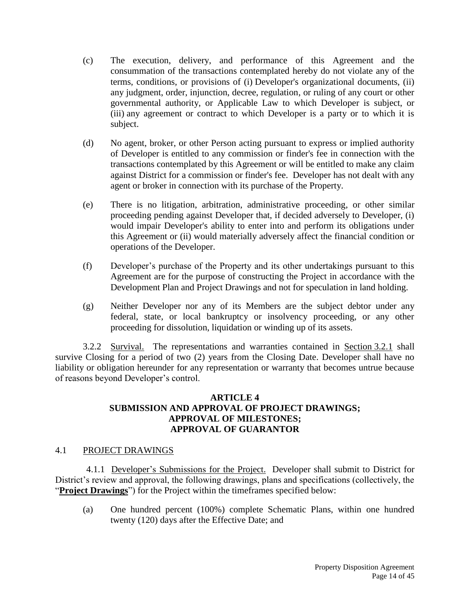- (c) The execution, delivery, and performance of this Agreement and the consummation of the transactions contemplated hereby do not violate any of the terms, conditions, or provisions of (i) Developer's organizational documents, (ii) any judgment, order, injunction, decree, regulation, or ruling of any court or other governmental authority, or Applicable Law to which Developer is subject, or (iii) any agreement or contract to which Developer is a party or to which it is subject.
- (d) No agent, broker, or other Person acting pursuant to express or implied authority of Developer is entitled to any commission or finder's fee in connection with the transactions contemplated by this Agreement or will be entitled to make any claim against District for a commission or finder's fee. Developer has not dealt with any agent or broker in connection with its purchase of the Property.
- (e) There is no litigation, arbitration, administrative proceeding, or other similar proceeding pending against Developer that, if decided adversely to Developer, (i) would impair Developer's ability to enter into and perform its obligations under this Agreement or (ii) would materially adversely affect the financial condition or operations of the Developer.
- (f) Developer's purchase of the Property and its other undertakings pursuant to this Agreement are for the purpose of constructing the Project in accordance with the Development Plan and Project Drawings and not for speculation in land holding.
- (g) Neither Developer nor any of its Members are the subject debtor under any federal, state, or local bankruptcy or insolvency proceeding, or any other proceeding for dissolution, liquidation or winding up of its assets.

3.2.2 Survival. The representations and warranties contained in Section 3.2.1 shall survive Closing for a period of two (2) years from the Closing Date. Developer shall have no liability or obligation hereunder for any representation or warranty that becomes untrue because of reasons beyond Developer's control.

#### **ARTICLE 4 SUBMISSION AND APPROVAL OF PROJECT DRAWINGS; APPROVAL OF MILESTONES; APPROVAL OF GUARANTOR**

#### 4.1 PROJECT DRAWINGS

4.1.1 Developer's Submissions for the Project. Developer shall submit to District for District's review and approval, the following drawings, plans and specifications (collectively, the "**Project Drawings**") for the Project within the timeframes specified below:

(a) One hundred percent (100%) complete Schematic Plans, within one hundred twenty (120) days after the Effective Date; and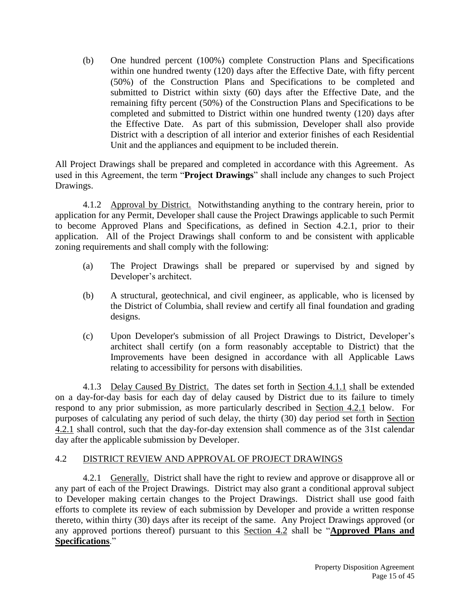(b) One hundred percent (100%) complete Construction Plans and Specifications within one hundred twenty (120) days after the Effective Date, with fifty percent (50%) of the Construction Plans and Specifications to be completed and submitted to District within sixty (60) days after the Effective Date, and the remaining fifty percent (50%) of the Construction Plans and Specifications to be completed and submitted to District within one hundred twenty (120) days after the Effective Date. As part of this submission, Developer shall also provide District with a description of all interior and exterior finishes of each Residential Unit and the appliances and equipment to be included therein.

All Project Drawings shall be prepared and completed in accordance with this Agreement. As used in this Agreement, the term "**Project Drawings**" shall include any changes to such Project Drawings.

4.1.2 Approval by District. Notwithstanding anything to the contrary herein, prior to application for any Permit, Developer shall cause the Project Drawings applicable to such Permit to become Approved Plans and Specifications, as defined in Section 4.2.1, prior to their application. All of the Project Drawings shall conform to and be consistent with applicable zoning requirements and shall comply with the following:

- (a) The Project Drawings shall be prepared or supervised by and signed by Developer's architect.
- (b) A structural, geotechnical, and civil engineer, as applicable, who is licensed by the District of Columbia, shall review and certify all final foundation and grading designs.
- (c) Upon Developer's submission of all Project Drawings to District, Developer's architect shall certify (on a form reasonably acceptable to District) that the Improvements have been designed in accordance with all Applicable Laws relating to accessibility for persons with disabilities.

4.1.3 Delay Caused By District. The dates set forth in Section 4.1.1 shall be extended on a day-for-day basis for each day of delay caused by District due to its failure to timely respond to any prior submission, as more particularly described in Section 4.2.1 below. For purposes of calculating any period of such delay, the thirty (30) day period set forth in Section 4.2.1 shall control, such that the day-for-day extension shall commence as of the 31st calendar day after the applicable submission by Developer.

# 4.2 DISTRICT REVIEW AND APPROVAL OF PROJECT DRAWINGS

4.2.1 Generally. District shall have the right to review and approve or disapprove all or any part of each of the Project Drawings. District may also grant a conditional approval subject to Developer making certain changes to the Project Drawings. District shall use good faith efforts to complete its review of each submission by Developer and provide a written response thereto, within thirty (30) days after its receipt of the same. Any Project Drawings approved (or any approved portions thereof) pursuant to this Section 4.2 shall be "**Approved Plans and Specifications**."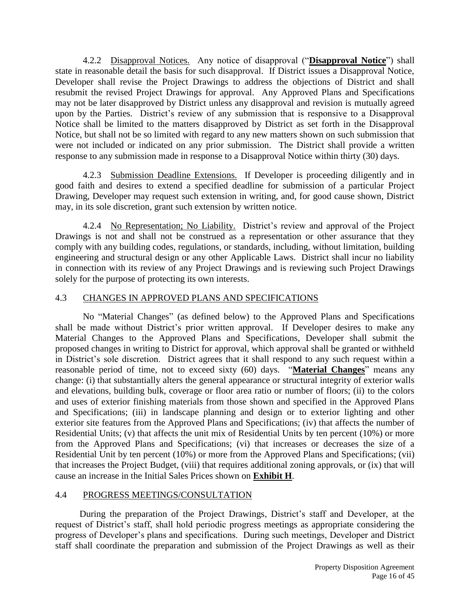4.2.2 Disapproval Notices. Any notice of disapproval ("**Disapproval Notice**") shall state in reasonable detail the basis for such disapproval. If District issues a Disapproval Notice, Developer shall revise the Project Drawings to address the objections of District and shall resubmit the revised Project Drawings for approval. Any Approved Plans and Specifications may not be later disapproved by District unless any disapproval and revision is mutually agreed upon by the Parties. District's review of any submission that is responsive to a Disapproval Notice shall be limited to the matters disapproved by District as set forth in the Disapproval Notice, but shall not be so limited with regard to any new matters shown on such submission that were not included or indicated on any prior submission. The District shall provide a written response to any submission made in response to a Disapproval Notice within thirty (30) days.

4.2.3 Submission Deadline Extensions. If Developer is proceeding diligently and in good faith and desires to extend a specified deadline for submission of a particular Project Drawing, Developer may request such extension in writing, and, for good cause shown, District may, in its sole discretion, grant such extension by written notice.

4.2.4 No Representation; No Liability. District's review and approval of the Project Drawings is not and shall not be construed as a representation or other assurance that they comply with any building codes, regulations, or standards, including, without limitation, building engineering and structural design or any other Applicable Laws. District shall incur no liability in connection with its review of any Project Drawings and is reviewing such Project Drawings solely for the purpose of protecting its own interests.

# 4.3 CHANGES IN APPROVED PLANS AND SPECIFICATIONS

No "Material Changes" (as defined below) to the Approved Plans and Specifications shall be made without District's prior written approval. If Developer desires to make any Material Changes to the Approved Plans and Specifications, Developer shall submit the proposed changes in writing to District for approval, which approval shall be granted or withheld in District's sole discretion. District agrees that it shall respond to any such request within a reasonable period of time, not to exceed sixty (60) days. "**Material Changes**" means any change: (i) that substantially alters the general appearance or structural integrity of exterior walls and elevations, building bulk, coverage or floor area ratio or number of floors; (ii) to the colors and uses of exterior finishing materials from those shown and specified in the Approved Plans and Specifications; (iii) in landscape planning and design or to exterior lighting and other exterior site features from the Approved Plans and Specifications; (iv) that affects the number of Residential Units; (v) that affects the unit mix of Residential Units by ten percent (10%) or more from the Approved Plans and Specifications; (vi) that increases or decreases the size of a Residential Unit by ten percent (10%) or more from the Approved Plans and Specifications; (vii) that increases the Project Budget, (viii) that requires additional zoning approvals, or (ix) that will cause an increase in the Initial Sales Prices shown on **Exhibit H**.

# 4.4 PROGRESS MEETINGS/CONSULTATION

During the preparation of the Project Drawings, District's staff and Developer, at the request of District's staff, shall hold periodic progress meetings as appropriate considering the progress of Developer's plans and specifications. During such meetings, Developer and District staff shall coordinate the preparation and submission of the Project Drawings as well as their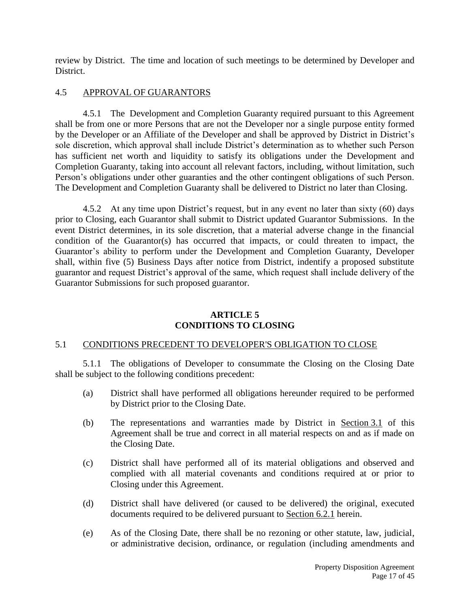review by District. The time and location of such meetings to be determined by Developer and District.

# 4.5 APPROVAL OF GUARANTORS

4.5.1 The Development and Completion Guaranty required pursuant to this Agreement shall be from one or more Persons that are not the Developer nor a single purpose entity formed by the Developer or an Affiliate of the Developer and shall be approved by District in District's sole discretion, which approval shall include District's determination as to whether such Person has sufficient net worth and liquidity to satisfy its obligations under the Development and Completion Guaranty, taking into account all relevant factors, including, without limitation, such Person's obligations under other guaranties and the other contingent obligations of such Person. The Development and Completion Guaranty shall be delivered to District no later than Closing.

4.5.2 At any time upon District's request, but in any event no later than sixty (60) days prior to Closing, each Guarantor shall submit to District updated Guarantor Submissions. In the event District determines, in its sole discretion, that a material adverse change in the financial condition of the Guarantor(s) has occurred that impacts, or could threaten to impact, the Guarantor's ability to perform under the Development and Completion Guaranty, Developer shall, within five (5) Business Days after notice from District, indentify a proposed substitute guarantor and request District's approval of the same, which request shall include delivery of the Guarantor Submissions for such proposed guarantor.

# **ARTICLE 5 CONDITIONS TO CLOSING**

# 5.1 CONDITIONS PRECEDENT TO DEVELOPER'S OBLIGATION TO CLOSE

5.1.1 The obligations of Developer to consummate the Closing on the Closing Date shall be subject to the following conditions precedent:

- (a) District shall have performed all obligations hereunder required to be performed by District prior to the Closing Date.
- (b) The representations and warranties made by District in Section 3.1 of this Agreement shall be true and correct in all material respects on and as if made on the Closing Date.
- (c) District shall have performed all of its material obligations and observed and complied with all material covenants and conditions required at or prior to Closing under this Agreement.
- (d) District shall have delivered (or caused to be delivered) the original, executed documents required to be delivered pursuant to Section 6.2.1 herein.
- (e) As of the Closing Date, there shall be no rezoning or other statute, law, judicial, or administrative decision, ordinance, or regulation (including amendments and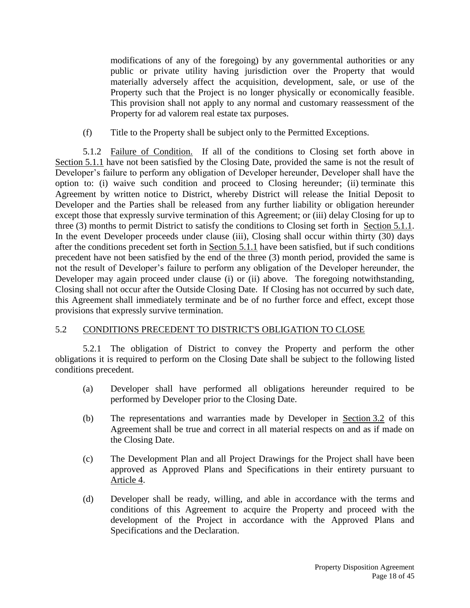modifications of any of the foregoing) by any governmental authorities or any public or private utility having jurisdiction over the Property that would materially adversely affect the acquisition, development, sale, or use of the Property such that the Project is no longer physically or economically feasible. This provision shall not apply to any normal and customary reassessment of the Property for ad valorem real estate tax purposes.

(f) Title to the Property shall be subject only to the Permitted Exceptions.

5.1.2 Failure of Condition. If all of the conditions to Closing set forth above in Section 5.1.1 have not been satisfied by the Closing Date, provided the same is not the result of Developer's failure to perform any obligation of Developer hereunder, Developer shall have the option to: (i) waive such condition and proceed to Closing hereunder; (ii) terminate this Agreement by written notice to District, whereby District will release the Initial Deposit to Developer and the Parties shall be released from any further liability or obligation hereunder except those that expressly survive termination of this Agreement; or (iii) delay Closing for up to three (3) months to permit District to satisfy the conditions to Closing set forth in Section 5.1.1. In the event Developer proceeds under clause (iii), Closing shall occur within thirty (30) days after the conditions precedent set forth in Section 5.1.1 have been satisfied, but if such conditions precedent have not been satisfied by the end of the three (3) month period, provided the same is not the result of Developer's failure to perform any obligation of the Developer hereunder, the Developer may again proceed under clause (i) or (ii) above. The foregoing notwithstanding, Closing shall not occur after the Outside Closing Date. If Closing has not occurred by such date, this Agreement shall immediately terminate and be of no further force and effect, except those provisions that expressly survive termination.

# 5.2 CONDITIONS PRECEDENT TO DISTRICT'S OBLIGATION TO CLOSE

5.2.1 The obligation of District to convey the Property and perform the other obligations it is required to perform on the Closing Date shall be subject to the following listed conditions precedent.

- (a) Developer shall have performed all obligations hereunder required to be performed by Developer prior to the Closing Date.
- (b) The representations and warranties made by Developer in Section 3.2 of this Agreement shall be true and correct in all material respects on and as if made on the Closing Date.
- (c) The Development Plan and all Project Drawings for the Project shall have been approved as Approved Plans and Specifications in their entirety pursuant to Article 4.
- (d) Developer shall be ready, willing, and able in accordance with the terms and conditions of this Agreement to acquire the Property and proceed with the development of the Project in accordance with the Approved Plans and Specifications and the Declaration.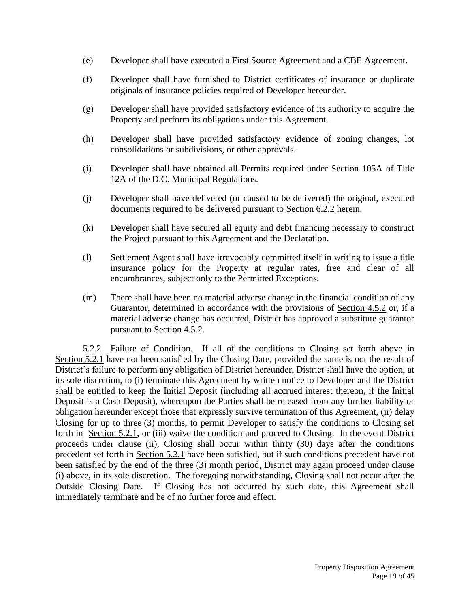- (e) Developer shall have executed a First Source Agreement and a CBE Agreement.
- (f) Developer shall have furnished to District certificates of insurance or duplicate originals of insurance policies required of Developer hereunder.
- (g) Developer shall have provided satisfactory evidence of its authority to acquire the Property and perform its obligations under this Agreement.
- (h) Developer shall have provided satisfactory evidence of zoning changes, lot consolidations or subdivisions, or other approvals.
- (i) Developer shall have obtained all Permits required under Section 105A of Title 12A of the D.C. Municipal Regulations.
- (j) Developer shall have delivered (or caused to be delivered) the original, executed documents required to be delivered pursuant to Section 6.2.2 herein.
- (k) Developer shall have secured all equity and debt financing necessary to construct the Project pursuant to this Agreement and the Declaration.
- (l) Settlement Agent shall have irrevocably committed itself in writing to issue a title insurance policy for the Property at regular rates, free and clear of all encumbrances, subject only to the Permitted Exceptions.
- (m) There shall have been no material adverse change in the financial condition of any Guarantor, determined in accordance with the provisions of Section 4.5.2 or, if a material adverse change has occurred, District has approved a substitute guarantor pursuant to Section 4.5.2.

5.2.2 Failure of Condition. If all of the conditions to Closing set forth above in Section 5.2.1 have not been satisfied by the Closing Date, provided the same is not the result of District's failure to perform any obligation of District hereunder, District shall have the option, at its sole discretion, to (i) terminate this Agreement by written notice to Developer and the District shall be entitled to keep the Initial Deposit (including all accrued interest thereon, if the Initial Deposit is a Cash Deposit), whereupon the Parties shall be released from any further liability or obligation hereunder except those that expressly survive termination of this Agreement, (ii) delay Closing for up to three (3) months, to permit Developer to satisfy the conditions to Closing set forth in Section 5.2.1, or (iii) waive the condition and proceed to Closing. In the event District proceeds under clause (ii), Closing shall occur within thirty (30) days after the conditions precedent set forth in Section 5.2.1 have been satisfied, but if such conditions precedent have not been satisfied by the end of the three (3) month period, District may again proceed under clause (i) above, in its sole discretion. The foregoing notwithstanding, Closing shall not occur after the Outside Closing Date. If Closing has not occurred by such date, this Agreement shall immediately terminate and be of no further force and effect.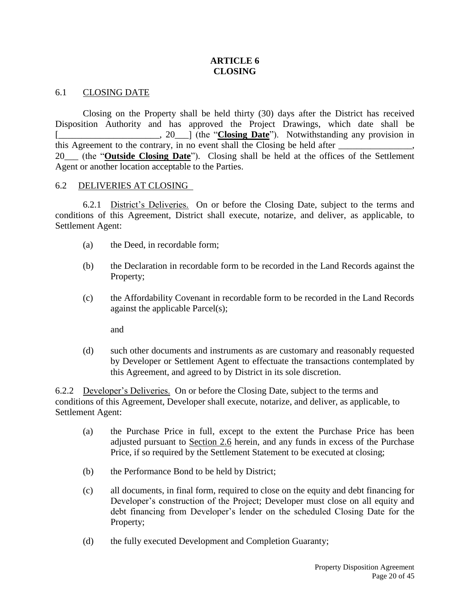## **ARTICLE 6 CLOSING**

#### 6.1 CLOSING DATE

Closing on the Property shall be held thirty (30) days after the District has received Disposition Authority and has approved the Project Drawings, which date shall be [., 20\_\_\_] (the "**Closing Date**"). Notwithstanding any provision in this Agreement to the contrary, in no event shall the Closing be held after 20\_\_\_ (the "**Outside Closing Date**"). Closing shall be held at the offices of the Settlement Agent or another location acceptable to the Parties.

#### 6.2 DELIVERIES AT CLOSING

6.2.1 District's Deliveries. On or before the Closing Date, subject to the terms and conditions of this Agreement, District shall execute, notarize, and deliver, as applicable, to Settlement Agent:

- (a) the Deed, in recordable form;
- (b) the Declaration in recordable form to be recorded in the Land Records against the Property;
- (c) the Affordability Covenant in recordable form to be recorded in the Land Records against the applicable Parcel(s);

and

(d) such other documents and instruments as are customary and reasonably requested by Developer or Settlement Agent to effectuate the transactions contemplated by this Agreement, and agreed to by District in its sole discretion.

6.2.2 Developer's Deliveries. On or before the Closing Date, subject to the terms and conditions of this Agreement, Developer shall execute, notarize, and deliver, as applicable, to Settlement Agent:

- (a) the Purchase Price in full, except to the extent the Purchase Price has been adjusted pursuant to Section 2.6 herein, and any funds in excess of the Purchase Price, if so required by the Settlement Statement to be executed at closing;
- (b) the Performance Bond to be held by District;
- (c) all documents, in final form, required to close on the equity and debt financing for Developer's construction of the Project; Developer must close on all equity and debt financing from Developer's lender on the scheduled Closing Date for the Property;
- (d) the fully executed Development and Completion Guaranty;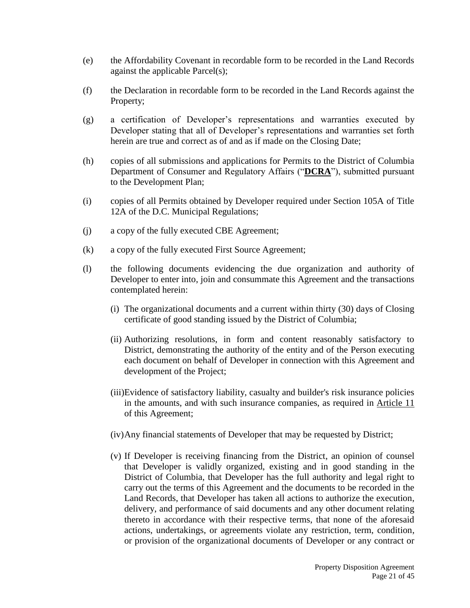- (e) the Affordability Covenant in recordable form to be recorded in the Land Records against the applicable Parcel(s);
- (f) the Declaration in recordable form to be recorded in the Land Records against the Property;
- (g) a certification of Developer's representations and warranties executed by Developer stating that all of Developer's representations and warranties set forth herein are true and correct as of and as if made on the Closing Date;
- (h) copies of all submissions and applications for Permits to the District of Columbia Department of Consumer and Regulatory Affairs ("**DCRA**"), submitted pursuant to the Development Plan;
- (i) copies of all Permits obtained by Developer required under Section 105A of Title 12A of the D.C. Municipal Regulations;
- (j) a copy of the fully executed CBE Agreement;
- (k) a copy of the fully executed First Source Agreement;
- (l) the following documents evidencing the due organization and authority of Developer to enter into, join and consummate this Agreement and the transactions contemplated herein:
	- (i) The organizational documents and a current within thirty (30) days of Closing certificate of good standing issued by the District of Columbia;
	- (ii) Authorizing resolutions, in form and content reasonably satisfactory to District, demonstrating the authority of the entity and of the Person executing each document on behalf of Developer in connection with this Agreement and development of the Project;
	- (iii)Evidence of satisfactory liability, casualty and builder's risk insurance policies in the amounts, and with such insurance companies, as required in Article 11 of this Agreement;
	- (iv)Any financial statements of Developer that may be requested by District;
	- (v) If Developer is receiving financing from the District, an opinion of counsel that Developer is validly organized, existing and in good standing in the District of Columbia, that Developer has the full authority and legal right to carry out the terms of this Agreement and the documents to be recorded in the Land Records, that Developer has taken all actions to authorize the execution, delivery, and performance of said documents and any other document relating thereto in accordance with their respective terms, that none of the aforesaid actions, undertakings, or agreements violate any restriction, term, condition, or provision of the organizational documents of Developer or any contract or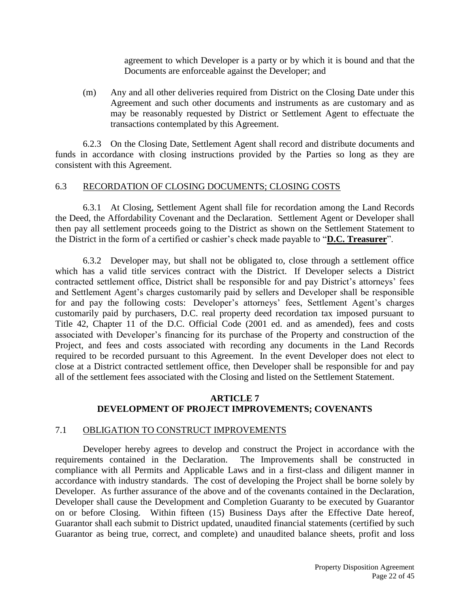agreement to which Developer is a party or by which it is bound and that the Documents are enforceable against the Developer; and

(m) Any and all other deliveries required from District on the Closing Date under this Agreement and such other documents and instruments as are customary and as may be reasonably requested by District or Settlement Agent to effectuate the transactions contemplated by this Agreement.

6.2.3 On the Closing Date, Settlement Agent shall record and distribute documents and funds in accordance with closing instructions provided by the Parties so long as they are consistent with this Agreement.

#### 6.3 RECORDATION OF CLOSING DOCUMENTS; CLOSING COSTS

6.3.1 At Closing, Settlement Agent shall file for recordation among the Land Records the Deed, the Affordability Covenant and the Declaration. Settlement Agent or Developer shall then pay all settlement proceeds going to the District as shown on the Settlement Statement to the District in the form of a certified or cashier's check made payable to "**D.C. Treasurer**".

6.3.2 Developer may, but shall not be obligated to, close through a settlement office which has a valid title services contract with the District. If Developer selects a District contracted settlement office, District shall be responsible for and pay District's attorneys' fees and Settlement Agent's charges customarily paid by sellers and Developer shall be responsible for and pay the following costs: Developer's attorneys' fees, Settlement Agent's charges customarily paid by purchasers, D.C. real property deed recordation tax imposed pursuant to Title 42, Chapter 11 of the D.C. Official Code (2001 ed. and as amended), fees and costs associated with Developer's financing for its purchase of the Property and construction of the Project, and fees and costs associated with recording any documents in the Land Records required to be recorded pursuant to this Agreement. In the event Developer does not elect to close at a District contracted settlement office, then Developer shall be responsible for and pay all of the settlement fees associated with the Closing and listed on the Settlement Statement.

# **ARTICLE 7 DEVELOPMENT OF PROJECT IMPROVEMENTS; COVENANTS**

#### 7.1 OBLIGATION TO CONSTRUCT IMPROVEMENTS

Developer hereby agrees to develop and construct the Project in accordance with the requirements contained in the Declaration. The Improvements shall be constructed in compliance with all Permits and Applicable Laws and in a first-class and diligent manner in accordance with industry standards. The cost of developing the Project shall be borne solely by Developer. As further assurance of the above and of the covenants contained in the Declaration, Developer shall cause the Development and Completion Guaranty to be executed by Guarantor on or before Closing. Within fifteen (15) Business Days after the Effective Date hereof, Guarantor shall each submit to District updated, unaudited financial statements (certified by such Guarantor as being true, correct, and complete) and unaudited balance sheets, profit and loss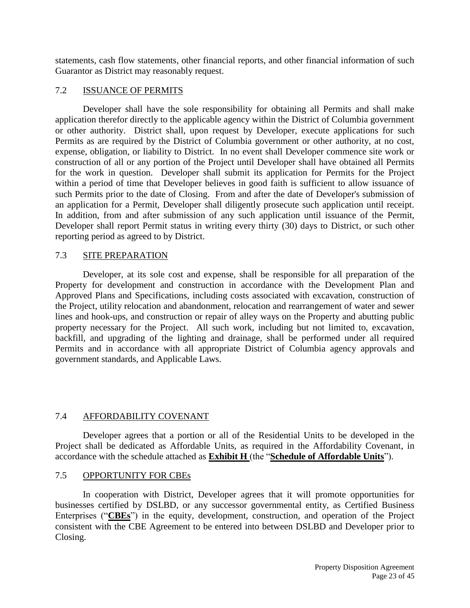statements, cash flow statements, other financial reports, and other financial information of such Guarantor as District may reasonably request.

# 7.2 ISSUANCE OF PERMITS

Developer shall have the sole responsibility for obtaining all Permits and shall make application therefor directly to the applicable agency within the District of Columbia government or other authority. District shall, upon request by Developer, execute applications for such Permits as are required by the District of Columbia government or other authority, at no cost, expense, obligation, or liability to District. In no event shall Developer commence site work or construction of all or any portion of the Project until Developer shall have obtained all Permits for the work in question. Developer shall submit its application for Permits for the Project within a period of time that Developer believes in good faith is sufficient to allow issuance of such Permits prior to the date of Closing. From and after the date of Developer's submission of an application for a Permit, Developer shall diligently prosecute such application until receipt. In addition, from and after submission of any such application until issuance of the Permit, Developer shall report Permit status in writing every thirty (30) days to District, or such other reporting period as agreed to by District.

# 7.3 SITE PREPARATION

Developer, at its sole cost and expense, shall be responsible for all preparation of the Property for development and construction in accordance with the Development Plan and Approved Plans and Specifications, including costs associated with excavation, construction of the Project, utility relocation and abandonment, relocation and rearrangement of water and sewer lines and hook-ups, and construction or repair of alley ways on the Property and abutting public property necessary for the Project. All such work, including but not limited to, excavation, backfill, and upgrading of the lighting and drainage, shall be performed under all required Permits and in accordance with all appropriate District of Columbia agency approvals and government standards, and Applicable Laws.

# 7.4 AFFORDABILITY COVENANT

Developer agrees that a portion or all of the Residential Units to be developed in the Project shall be dedicated as Affordable Units, as required in the Affordability Covenant, in accordance with the schedule attached as **Exhibit H** (the "**Schedule of Affordable Units**").

# 7.5 OPPORTUNITY FOR CBEs

In cooperation with District, Developer agrees that it will promote opportunities for businesses certified by DSLBD, or any successor governmental entity, as Certified Business Enterprises ("**CBEs**") in the equity, development, construction, and operation of the Project consistent with the CBE Agreement to be entered into between DSLBD and Developer prior to Closing.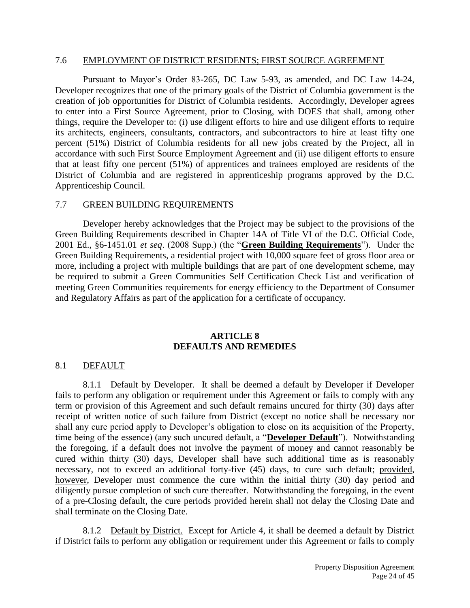#### 7.6 EMPLOYMENT OF DISTRICT RESIDENTS; FIRST SOURCE AGREEMENT

Pursuant to Mayor's Order 83-265, DC Law 5-93, as amended, and DC Law 14-24, Developer recognizes that one of the primary goals of the District of Columbia government is the creation of job opportunities for District of Columbia residents. Accordingly, Developer agrees to enter into a First Source Agreement, prior to Closing, with DOES that shall, among other things, require the Developer to: (i) use diligent efforts to hire and use diligent efforts to require its architects, engineers, consultants, contractors, and subcontractors to hire at least fifty one percent (51%) District of Columbia residents for all new jobs created by the Project, all in accordance with such First Source Employment Agreement and (ii) use diligent efforts to ensure that at least fifty one percent (51%) of apprentices and trainees employed are residents of the District of Columbia and are registered in apprenticeship programs approved by the D.C. Apprenticeship Council.

#### 7.7 GREEN BUILDING REQUIREMENTS

Developer hereby acknowledges that the Project may be subject to the provisions of the Green Building Requirements described in Chapter 14A of Title VI of the D.C. Official Code, 2001 Ed., §6-1451.01 *et seq*. (2008 Supp.) (the "**Green Building Requirements**"). Under the Green Building Requirements, a residential project with 10,000 square feet of gross floor area or more, including a project with multiple buildings that are part of one development scheme, may be required to submit a Green Communities Self Certification Check List and verification of meeting Green Communities requirements for energy efficiency to the Department of Consumer and Regulatory Affairs as part of the application for a certificate of occupancy.

#### **ARTICLE 8 DEFAULTS AND REMEDIES**

#### 8.1 DEFAULT

8.1.1 Default by Developer. It shall be deemed a default by Developer if Developer fails to perform any obligation or requirement under this Agreement or fails to comply with any term or provision of this Agreement and such default remains uncured for thirty (30) days after receipt of written notice of such failure from District (except no notice shall be necessary nor shall any cure period apply to Developer's obligation to close on its acquisition of the Property, time being of the essence) (any such uncured default, a "**Developer Default**"). Notwithstanding the foregoing, if a default does not involve the payment of money and cannot reasonably be cured within thirty (30) days, Developer shall have such additional time as is reasonably necessary, not to exceed an additional forty-five (45) days, to cure such default; provided, however, Developer must commence the cure within the initial thirty (30) day period and diligently pursue completion of such cure thereafter. Notwithstanding the foregoing, in the event of a pre-Closing default, the cure periods provided herein shall not delay the Closing Date and shall terminate on the Closing Date.

8.1.2 Default by District. Except for Article 4, it shall be deemed a default by District if District fails to perform any obligation or requirement under this Agreement or fails to comply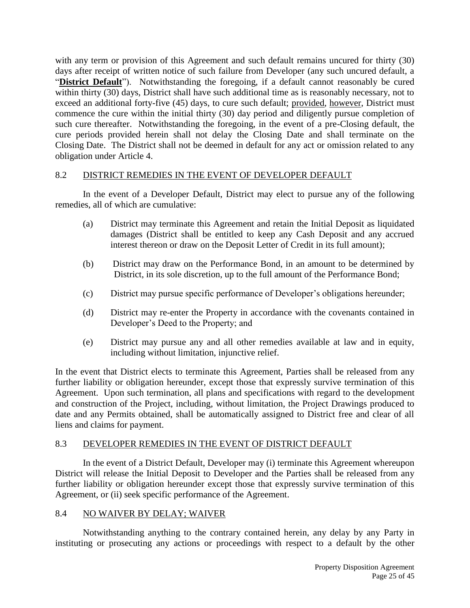with any term or provision of this Agreement and such default remains uncured for thirty (30) days after receipt of written notice of such failure from Developer (any such uncured default, a "**District Default**"). Notwithstanding the foregoing, if a default cannot reasonably be cured within thirty (30) days, District shall have such additional time as is reasonably necessary, not to exceed an additional forty-five (45) days, to cure such default; provided, however, District must commence the cure within the initial thirty (30) day period and diligently pursue completion of such cure thereafter. Notwithstanding the foregoing, in the event of a pre-Closing default, the cure periods provided herein shall not delay the Closing Date and shall terminate on the Closing Date. The District shall not be deemed in default for any act or omission related to any obligation under Article 4.

## 8.2 DISTRICT REMEDIES IN THE EVENT OF DEVELOPER DEFAULT

In the event of a Developer Default, District may elect to pursue any of the following remedies, all of which are cumulative:

- (a) District may terminate this Agreement and retain the Initial Deposit as liquidated damages (District shall be entitled to keep any Cash Deposit and any accrued interest thereon or draw on the Deposit Letter of Credit in its full amount);
- (b) District may draw on the Performance Bond, in an amount to be determined by District, in its sole discretion, up to the full amount of the Performance Bond;
- (c) District may pursue specific performance of Developer's obligations hereunder;
- (d) District may re-enter the Property in accordance with the covenants contained in Developer's Deed to the Property; and
- (e) District may pursue any and all other remedies available at law and in equity, including without limitation, injunctive relief.

In the event that District elects to terminate this Agreement, Parties shall be released from any further liability or obligation hereunder, except those that expressly survive termination of this Agreement. Upon such termination, all plans and specifications with regard to the development and construction of the Project, including, without limitation, the Project Drawings produced to date and any Permits obtained, shall be automatically assigned to District free and clear of all liens and claims for payment.

# 8.3 DEVELOPER REMEDIES IN THE EVENT OF DISTRICT DEFAULT

In the event of a District Default, Developer may (i) terminate this Agreement whereupon District will release the Initial Deposit to Developer and the Parties shall be released from any further liability or obligation hereunder except those that expressly survive termination of this Agreement, or (ii) seek specific performance of the Agreement.

# 8.4 NO WAIVER BY DELAY; WAIVER

Notwithstanding anything to the contrary contained herein, any delay by any Party in instituting or prosecuting any actions or proceedings with respect to a default by the other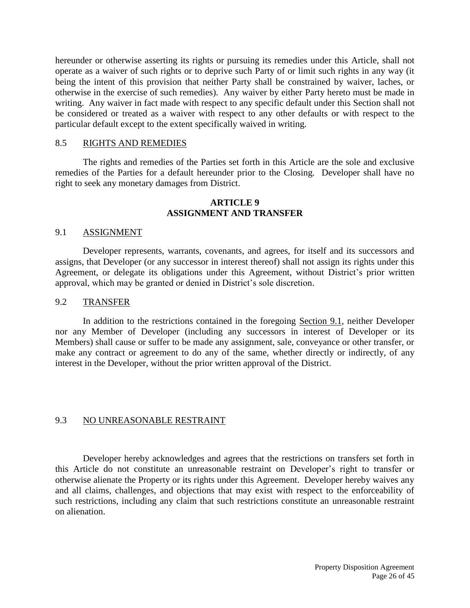hereunder or otherwise asserting its rights or pursuing its remedies under this Article, shall not operate as a waiver of such rights or to deprive such Party of or limit such rights in any way (it being the intent of this provision that neither Party shall be constrained by waiver, laches, or otherwise in the exercise of such remedies). Any waiver by either Party hereto must be made in writing. Any waiver in fact made with respect to any specific default under this Section shall not be considered or treated as a waiver with respect to any other defaults or with respect to the particular default except to the extent specifically waived in writing.

#### 8.5 RIGHTS AND REMEDIES

The rights and remedies of the Parties set forth in this Article are the sole and exclusive remedies of the Parties for a default hereunder prior to the Closing. Developer shall have no right to seek any monetary damages from District.

## **ARTICLE 9 ASSIGNMENT AND TRANSFER**

#### 9.1 ASSIGNMENT

Developer represents, warrants, covenants, and agrees, for itself and its successors and assigns, that Developer (or any successor in interest thereof) shall not assign its rights under this Agreement, or delegate its obligations under this Agreement, without District's prior written approval, which may be granted or denied in District's sole discretion.

#### 9.2 TRANSFER

In addition to the restrictions contained in the foregoing Section 9.1, neither Developer nor any Member of Developer (including any successors in interest of Developer or its Members) shall cause or suffer to be made any assignment, sale, conveyance or other transfer, or make any contract or agreement to do any of the same, whether directly or indirectly, of any interest in the Developer, without the prior written approval of the District.

#### 9.3 NO UNREASONABLE RESTRAINT

Developer hereby acknowledges and agrees that the restrictions on transfers set forth in this Article do not constitute an unreasonable restraint on Developer's right to transfer or otherwise alienate the Property or its rights under this Agreement. Developer hereby waives any and all claims, challenges, and objections that may exist with respect to the enforceability of such restrictions, including any claim that such restrictions constitute an unreasonable restraint on alienation.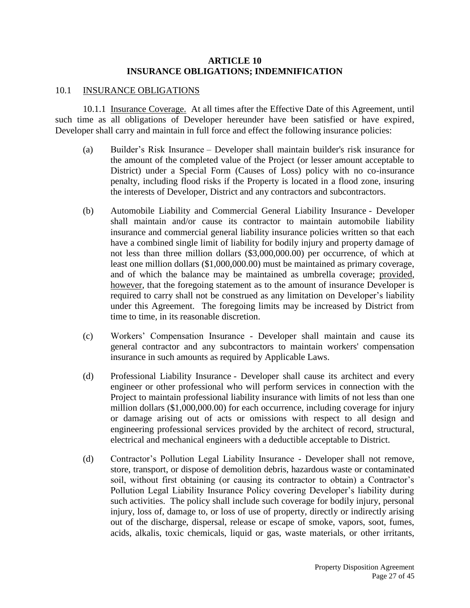#### **ARTICLE 10 INSURANCE OBLIGATIONS; INDEMNIFICATION**

#### 10.1 INSURANCE OBLIGATIONS

10.1.1 Insurance Coverage. At all times after the Effective Date of this Agreement, until such time as all obligations of Developer hereunder have been satisfied or have expired, Developer shall carry and maintain in full force and effect the following insurance policies:

- (a) Builder's Risk Insurance Developer shall maintain builder's risk insurance for the amount of the completed value of the Project (or lesser amount acceptable to District) under a Special Form (Causes of Loss) policy with no co-insurance penalty, including flood risks if the Property is located in a flood zone, insuring the interests of Developer, District and any contractors and subcontractors.
- (b) Automobile Liability and Commercial General Liability Insurance Developer shall maintain and/or cause its contractor to maintain automobile liability insurance and commercial general liability insurance policies written so that each have a combined single limit of liability for bodily injury and property damage of not less than three million dollars (\$3,000,000.00) per occurrence, of which at least one million dollars (\$1,000,000.00) must be maintained as primary coverage, and of which the balance may be maintained as umbrella coverage; provided, however, that the foregoing statement as to the amount of insurance Developer is required to carry shall not be construed as any limitation on Developer's liability under this Agreement. The foregoing limits may be increased by District from time to time, in its reasonable discretion.
- (c) Workers' Compensation Insurance Developer shall maintain and cause its general contractor and any subcontractors to maintain workers' compensation insurance in such amounts as required by Applicable Laws.
- (d) Professional Liability Insurance Developer shall cause its architect and every engineer or other professional who will perform services in connection with the Project to maintain professional liability insurance with limits of not less than one million dollars (\$1,000,000.00) for each occurrence, including coverage for injury or damage arising out of acts or omissions with respect to all design and engineering professional services provided by the architect of record, structural, electrical and mechanical engineers with a deductible acceptable to District.
- (d) Contractor's Pollution Legal Liability Insurance Developer shall not remove, store, transport, or dispose of demolition debris, hazardous waste or contaminated soil, without first obtaining (or causing its contractor to obtain) a Contractor's Pollution Legal Liability Insurance Policy covering Developer's liability during such activities. The policy shall include such coverage for bodily injury, personal injury, loss of, damage to, or loss of use of property, directly or indirectly arising out of the discharge, dispersal, release or escape of smoke, vapors, soot, fumes, acids, alkalis, toxic chemicals, liquid or gas, waste materials, or other irritants,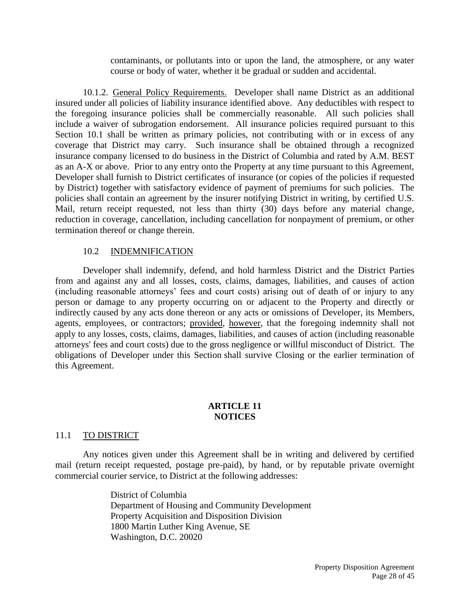contaminants, or pollutants into or upon the land, the atmosphere, or any water course or body of water, whether it be gradual or sudden and accidental.

10.1.2. General Policy Requirements. Developer shall name District as an additional insured under all policies of liability insurance identified above. Any deductibles with respect to the foregoing insurance policies shall be commercially reasonable. All such policies shall include a waiver of subrogation endorsement. All insurance policies required pursuant to this Section 10.1 shall be written as primary policies, not contributing with or in excess of any coverage that District may carry. Such insurance shall be obtained through a recognized insurance company licensed to do business in the District of Columbia and rated by A.M. BEST as an A-X or above. Prior to any entry onto the Property at any time pursuant to this Agreement, Developer shall furnish to District certificates of insurance (or copies of the policies if requested by District) together with satisfactory evidence of payment of premiums for such policies. The policies shall contain an agreement by the insurer notifying District in writing, by certified U.S. Mail, return receipt requested, not less than thirty (30) days before any material change, reduction in coverage, cancellation, including cancellation for nonpayment of premium, or other termination thereof or change therein.

#### 10.2 INDEMNIFICATION

Developer shall indemnify, defend, and hold harmless District and the District Parties from and against any and all losses, costs, claims, damages, liabilities, and causes of action (including reasonable attorneys' fees and court costs) arising out of death of or injury to any person or damage to any property occurring on or adjacent to the Property and directly or indirectly caused by any acts done thereon or any acts or omissions of Developer, its Members, agents, employees, or contractors; provided, however, that the foregoing indemnity shall not apply to any losses, costs, claims, damages, liabilities, and causes of action (including reasonable attorneys' fees and court costs) due to the gross negligence or willful misconduct of District. The obligations of Developer under this Section shall survive Closing or the earlier termination of this Agreement.

#### **ARTICLE 11 NOTICES**

#### 11.1 TO DISTRICT

Any notices given under this Agreement shall be in writing and delivered by certified mail (return receipt requested, postage pre-paid), by hand, or by reputable private overnight commercial courier service, to District at the following addresses:

> District of Columbia Department of Housing and Community Development Property Acquisition and Disposition Division 1800 Martin Luther King Avenue, SE Washington, D.C. 20020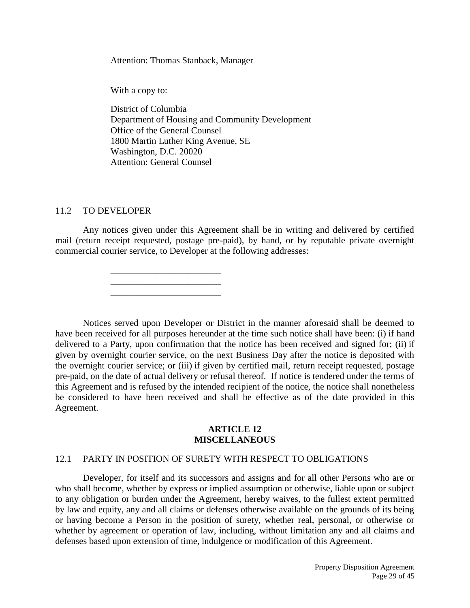Attention: Thomas Stanback, Manager

With a copy to:

District of Columbia Department of Housing and Community Development Office of the General Counsel 1800 Martin Luther King Avenue, SE Washington, D.C. 20020 Attention: General Counsel

#### 11.2 TO DEVELOPER

Any notices given under this Agreement shall be in writing and delivered by certified mail (return receipt requested, postage pre-paid), by hand, or by reputable private overnight commercial courier service, to Developer at the following addresses:

> \_\_\_\_\_\_\_\_\_\_\_\_\_\_\_\_\_\_\_\_\_\_\_\_ \_\_\_\_\_\_\_\_\_\_\_\_\_\_\_\_\_\_\_\_\_\_\_\_ \_\_\_\_\_\_\_\_\_\_\_\_\_\_\_\_\_\_\_\_\_\_\_\_

Notices served upon Developer or District in the manner aforesaid shall be deemed to have been received for all purposes hereunder at the time such notice shall have been: (i) if hand delivered to a Party, upon confirmation that the notice has been received and signed for; (ii) if given by overnight courier service, on the next Business Day after the notice is deposited with the overnight courier service; or (iii) if given by certified mail, return receipt requested, postage pre-paid, on the date of actual delivery or refusal thereof. If notice is tendered under the terms of this Agreement and is refused by the intended recipient of the notice, the notice shall nonetheless be considered to have been received and shall be effective as of the date provided in this Agreement.

#### **ARTICLE 12 MISCELLANEOUS**

#### 12.1 PARTY IN POSITION OF SURETY WITH RESPECT TO OBLIGATIONS

Developer, for itself and its successors and assigns and for all other Persons who are or who shall become, whether by express or implied assumption or otherwise, liable upon or subject to any obligation or burden under the Agreement, hereby waives, to the fullest extent permitted by law and equity, any and all claims or defenses otherwise available on the grounds of its being or having become a Person in the position of surety, whether real, personal, or otherwise or whether by agreement or operation of law, including, without limitation any and all claims and defenses based upon extension of time, indulgence or modification of this Agreement.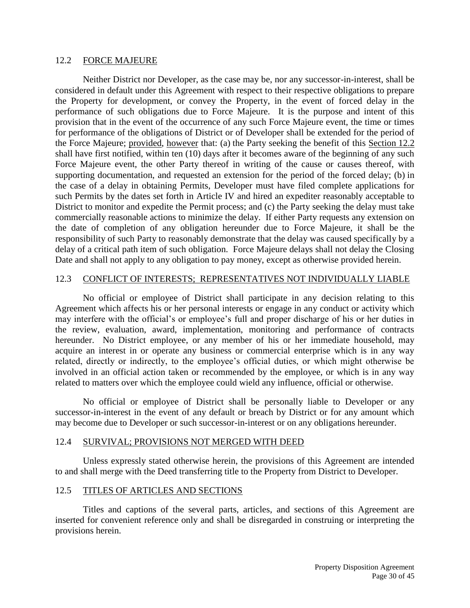#### 12.2 FORCE MAJEURE

Neither District nor Developer, as the case may be, nor any successor-in-interest, shall be considered in default under this Agreement with respect to their respective obligations to prepare the Property for development, or convey the Property, in the event of forced delay in the performance of such obligations due to Force Majeure. It is the purpose and intent of this provision that in the event of the occurrence of any such Force Majeure event, the time or times for performance of the obligations of District or of Developer shall be extended for the period of the Force Majeure; provided, however that: (a) the Party seeking the benefit of this Section 12.2 shall have first notified, within ten (10) days after it becomes aware of the beginning of any such Force Majeure event, the other Party thereof in writing of the cause or causes thereof, with supporting documentation, and requested an extension for the period of the forced delay; (b) in the case of a delay in obtaining Permits, Developer must have filed complete applications for such Permits by the dates set forth in Article IV and hired an expediter reasonably acceptable to District to monitor and expedite the Permit process; and (c) the Party seeking the delay must take commercially reasonable actions to minimize the delay. If either Party requests any extension on the date of completion of any obligation hereunder due to Force Majeure, it shall be the responsibility of such Party to reasonably demonstrate that the delay was caused specifically by a delay of a critical path item of such obligation. Force Majeure delays shall not delay the Closing Date and shall not apply to any obligation to pay money, except as otherwise provided herein.

#### 12.3 CONFLICT OF INTERESTS; REPRESENTATIVES NOT INDIVIDUALLY LIABLE

No official or employee of District shall participate in any decision relating to this Agreement which affects his or her personal interests or engage in any conduct or activity which may interfere with the official's or employee's full and proper discharge of his or her duties in the review, evaluation, award, implementation, monitoring and performance of contracts hereunder. No District employee, or any member of his or her immediate household, may acquire an interest in or operate any business or commercial enterprise which is in any way related, directly or indirectly, to the employee's official duties, or which might otherwise be involved in an official action taken or recommended by the employee, or which is in any way related to matters over which the employee could wield any influence, official or otherwise.

No official or employee of District shall be personally liable to Developer or any successor-in-interest in the event of any default or breach by District or for any amount which may become due to Developer or such successor-in-interest or on any obligations hereunder.

#### 12.4 SURVIVAL; PROVISIONS NOT MERGED WITH DEED

Unless expressly stated otherwise herein, the provisions of this Agreement are intended to and shall merge with the Deed transferring title to the Property from District to Developer.

#### 12.5 TITLES OF ARTICLES AND SECTIONS

Titles and captions of the several parts, articles, and sections of this Agreement are inserted for convenient reference only and shall be disregarded in construing or interpreting the provisions herein.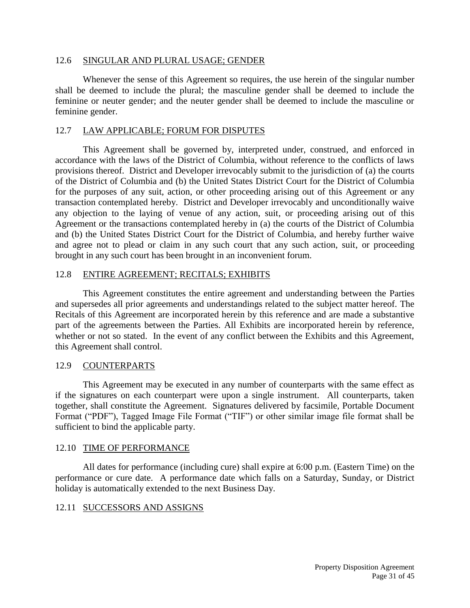#### 12.6 SINGULAR AND PLURAL USAGE; GENDER

Whenever the sense of this Agreement so requires, the use herein of the singular number shall be deemed to include the plural; the masculine gender shall be deemed to include the feminine or neuter gender; and the neuter gender shall be deemed to include the masculine or feminine gender.

#### 12.7 LAW APPLICABLE; FORUM FOR DISPUTES

This Agreement shall be governed by, interpreted under, construed, and enforced in accordance with the laws of the District of Columbia, without reference to the conflicts of laws provisions thereof. District and Developer irrevocably submit to the jurisdiction of (a) the courts of the District of Columbia and (b) the United States District Court for the District of Columbia for the purposes of any suit, action, or other proceeding arising out of this Agreement or any transaction contemplated hereby. District and Developer irrevocably and unconditionally waive any objection to the laying of venue of any action, suit, or proceeding arising out of this Agreement or the transactions contemplated hereby in (a) the courts of the District of Columbia and (b) the United States District Court for the District of Columbia, and hereby further waive and agree not to plead or claim in any such court that any such action, suit, or proceeding brought in any such court has been brought in an inconvenient forum.

## 12.8 ENTIRE AGREEMENT; RECITALS; EXHIBITS

This Agreement constitutes the entire agreement and understanding between the Parties and supersedes all prior agreements and understandings related to the subject matter hereof. The Recitals of this Agreement are incorporated herein by this reference and are made a substantive part of the agreements between the Parties. All Exhibits are incorporated herein by reference, whether or not so stated. In the event of any conflict between the Exhibits and this Agreement, this Agreement shall control.

#### 12.9 COUNTERPARTS

This Agreement may be executed in any number of counterparts with the same effect as if the signatures on each counterpart were upon a single instrument. All counterparts, taken together, shall constitute the Agreement. Signatures delivered by facsimile, Portable Document Format ("PDF"), Tagged Image File Format ("TIF") or other similar image file format shall be sufficient to bind the applicable party.

#### 12.10 TIME OF PERFORMANCE

All dates for performance (including cure) shall expire at 6:00 p.m. (Eastern Time) on the performance or cure date. A performance date which falls on a Saturday, Sunday, or District holiday is automatically extended to the next Business Day.

#### 12.11 SUCCESSORS AND ASSIGNS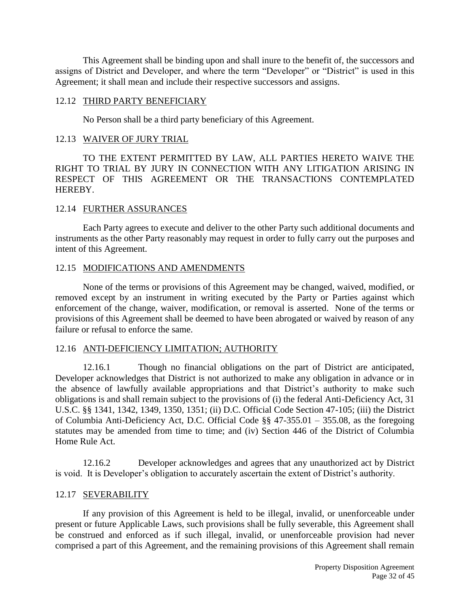This Agreement shall be binding upon and shall inure to the benefit of, the successors and assigns of District and Developer, and where the term "Developer" or "District" is used in this Agreement; it shall mean and include their respective successors and assigns.

#### 12.12 THIRD PARTY BENEFICIARY

No Person shall be a third party beneficiary of this Agreement.

## 12.13 WAIVER OF JURY TRIAL

TO THE EXTENT PERMITTED BY LAW, ALL PARTIES HERETO WAIVE THE RIGHT TO TRIAL BY JURY IN CONNECTION WITH ANY LITIGATION ARISING IN RESPECT OF THIS AGREEMENT OR THE TRANSACTIONS CONTEMPLATED HEREBY.

## 12.14 FURTHER ASSURANCES

Each Party agrees to execute and deliver to the other Party such additional documents and instruments as the other Party reasonably may request in order to fully carry out the purposes and intent of this Agreement.

## 12.15 MODIFICATIONS AND AMENDMENTS

None of the terms or provisions of this Agreement may be changed, waived, modified, or removed except by an instrument in writing executed by the Party or Parties against which enforcement of the change, waiver, modification, or removal is asserted. None of the terms or provisions of this Agreement shall be deemed to have been abrogated or waived by reason of any failure or refusal to enforce the same.

# 12.16 ANTI-DEFICIENCY LIMITATION; AUTHORITY

12.16.1 Though no financial obligations on the part of District are anticipated, Developer acknowledges that District is not authorized to make any obligation in advance or in the absence of lawfully available appropriations and that District's authority to make such obligations is and shall remain subject to the provisions of (i) the federal Anti-Deficiency Act, 31 U.S.C. §§ 1341, 1342, 1349, 1350, 1351; (ii) D.C. Official Code Section 47-105; (iii) the District of Columbia Anti-Deficiency Act, D.C. Official Code §§ 47-355.01 – 355.08, as the foregoing statutes may be amended from time to time; and (iv) Section 446 of the District of Columbia Home Rule Act.

12.16.2 Developer acknowledges and agrees that any unauthorized act by District is void. It is Developer's obligation to accurately ascertain the extent of District's authority.

# 12.17 SEVERABILITY

If any provision of this Agreement is held to be illegal, invalid, or unenforceable under present or future Applicable Laws, such provisions shall be fully severable, this Agreement shall be construed and enforced as if such illegal, invalid, or unenforceable provision had never comprised a part of this Agreement, and the remaining provisions of this Agreement shall remain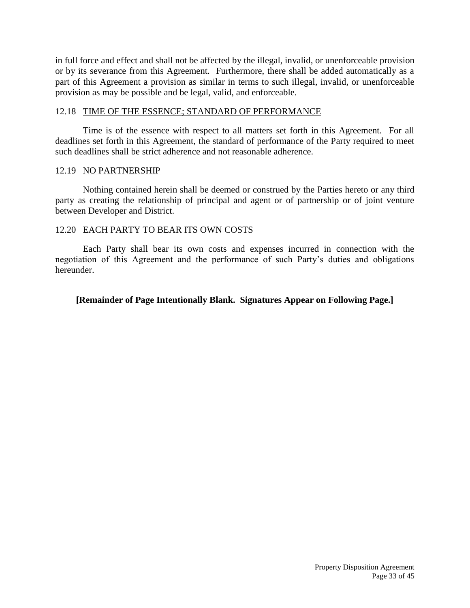in full force and effect and shall not be affected by the illegal, invalid, or unenforceable provision or by its severance from this Agreement. Furthermore, there shall be added automatically as a part of this Agreement a provision as similar in terms to such illegal, invalid, or unenforceable provision as may be possible and be legal, valid, and enforceable.

#### 12.18 TIME OF THE ESSENCE; STANDARD OF PERFORMANCE

Time is of the essence with respect to all matters set forth in this Agreement. For all deadlines set forth in this Agreement, the standard of performance of the Party required to meet such deadlines shall be strict adherence and not reasonable adherence.

#### 12.19 NO PARTNERSHIP

Nothing contained herein shall be deemed or construed by the Parties hereto or any third party as creating the relationship of principal and agent or of partnership or of joint venture between Developer and District.

#### 12.20 EACH PARTY TO BEAR ITS OWN COSTS

Each Party shall bear its own costs and expenses incurred in connection with the negotiation of this Agreement and the performance of such Party's duties and obligations hereunder.

#### **[Remainder of Page Intentionally Blank. Signatures Appear on Following Page.]**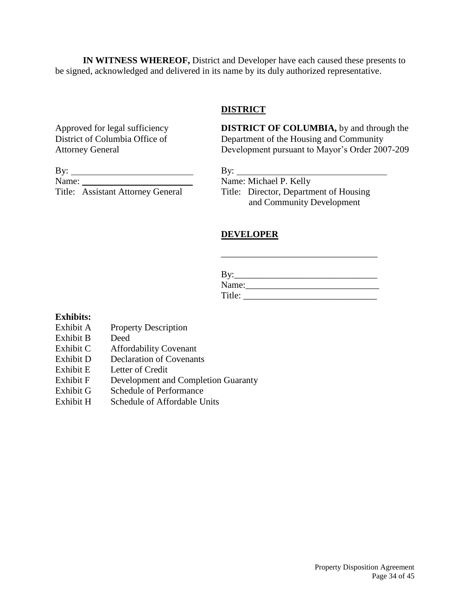**IN WITNESS WHEREOF,** District and Developer have each caused these presents to be signed, acknowledged and delivered in its name by its duly authorized representative.

## **DISTRICT**

Approved for legal sufficiency **DISTRICT OF COLUMBIA,** by and through the District of Columbia Office of **Department** of the Housing and Community Department of the Housing and Community Attorney General Development pursuant to Mayor's Order 2007-209

By:  $\qquad \qquad \qquad$  By: Name: \_\_\_\_\_\_\_\_\_\_\_\_\_\_\_\_\_\_\_\_\_\_\_\_ Name: Michael P. Kelly

Title: Assistant Attorney General Title: Director, Department of Housing and Community Development

# **DEVELOPER**

| D,.<br>് |
|----------|
| Name:    |
| Title:   |

\_\_\_\_\_\_\_\_\_\_\_\_\_\_\_\_\_\_\_\_\_\_\_\_\_\_\_\_\_\_\_\_\_\_

#### **Exhibits:**

- Exhibit A Property Description
- Exhibit B Deed
- Exhibit C Affordability Covenant
- Exhibit D Declaration of Covenants
- Exhibit E Letter of Credit
- Exhibit F Development and Completion Guaranty
- Exhibit G Schedule of Performance
- Exhibit H Schedule of Affordable Units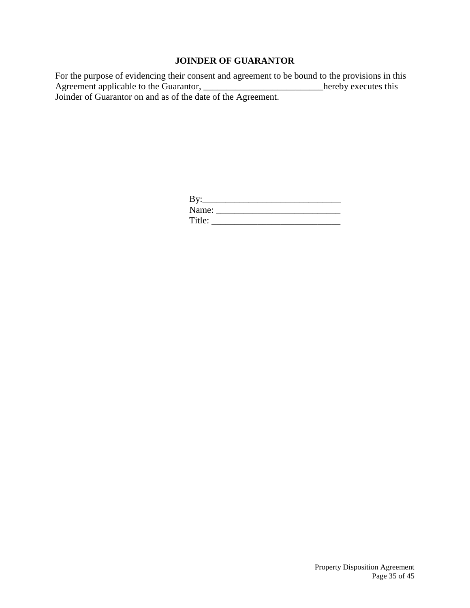# **JOINDER OF GUARANTOR**

For the purpose of evidencing their consent and agreement to be bound to the provisions in this Agreement applicable to the Guarantor, \_\_\_\_\_\_\_\_\_\_\_\_\_\_\_\_\_\_\_\_\_\_\_\_\_\_\_\_hereby executes this Joinder of Guarantor on and as of the date of the Agreement.

| $\gamma$ : |  |
|------------|--|
| Name:      |  |
| Title:     |  |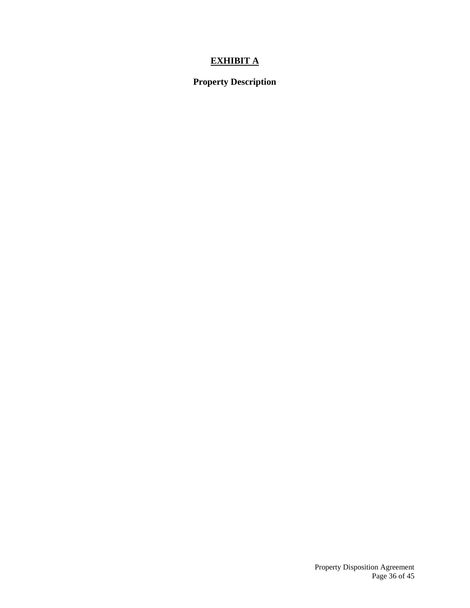# **EXHIBIT A**

# **Property Description**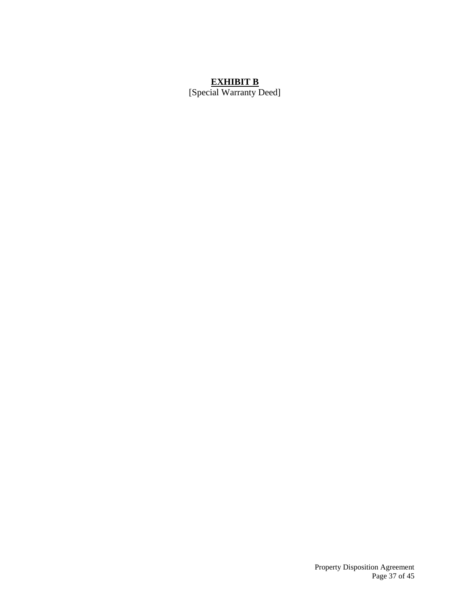# **EXHIBIT B**

[Special Warranty Deed]

Property Disposition Agreement Page 37 of 45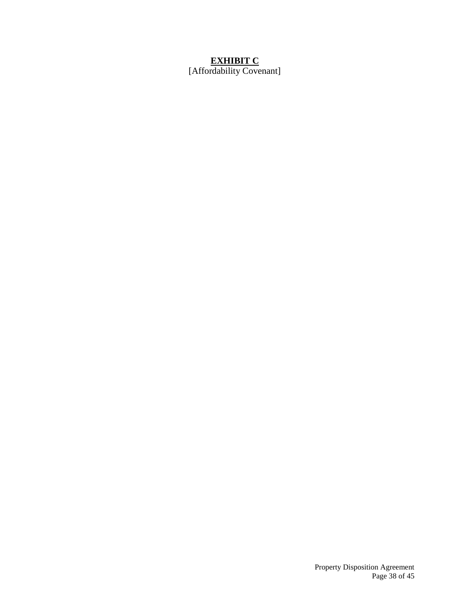# **EXHIBIT C**

[Affordability Covenant]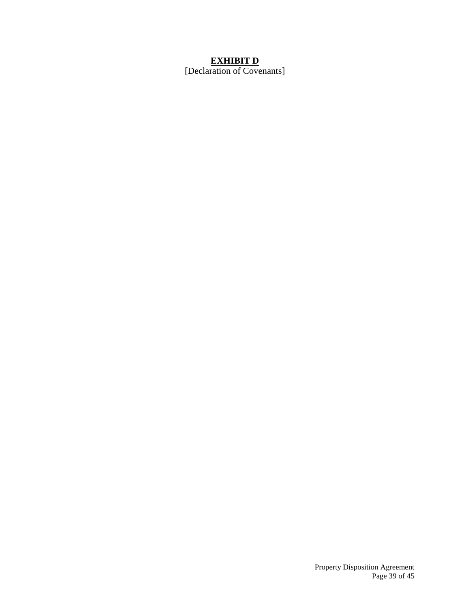## **EXHIBIT D**

[Declaration of Covenants]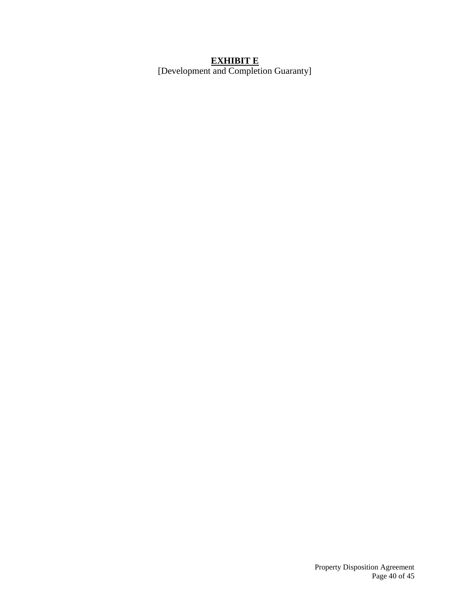#### **EXHIBIT E**

[Development and Completion Guaranty]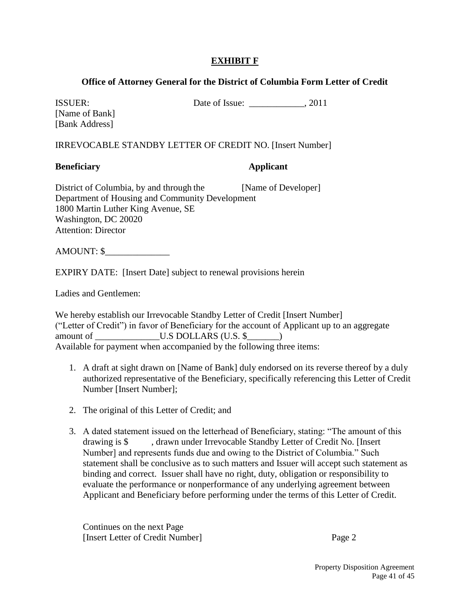# **EXHIBIT F**

# **Office of Attorney General for the District of Columbia Form Letter of Credit**

ISSUER: Date of Issue: \_\_\_\_\_\_\_\_\_\_\_\_, 2011

[Name of Bank] [Bank Address]

IRREVOCABLE STANDBY LETTER OF CREDIT NO. [Insert Number]

# **Beneficiary Applicant**

District of Columbia, by and through the [Name of Developer] Department of Housing and Community Development 1800 Martin Luther King Avenue, SE Washington, DC 20020 Attention: Director

AMOUNT: \$\_\_\_\_\_\_\_\_\_\_\_\_\_\_

EXPIRY DATE: [Insert Date] subject to renewal provisions herein

Ladies and Gentlemen:

We hereby establish our Irrevocable Standby Letter of Credit [Insert Number] ("Letter of Credit") in favor of Beneficiary for the account of Applicant up to an aggregate amount of \_\_\_\_\_\_\_\_\_\_\_\_\_\_\_U.S DOLLARS (U.S. \$\_\_\_\_\_\_) Available for payment when accompanied by the following three items:

- 1. A draft at sight drawn on [Name of Bank] duly endorsed on its reverse thereof by a duly authorized representative of the Beneficiary, specifically referencing this Letter of Credit Number [Insert Number];
- 2. The original of this Letter of Credit; and
- 3. A dated statement issued on the letterhead of Beneficiary, stating: "The amount of this drawing is \$ , drawn under Irrevocable Standby Letter of Credit No. [Insert Number] and represents funds due and owing to the District of Columbia." Such statement shall be conclusive as to such matters and Issuer will accept such statement as binding and correct. Issuer shall have no right, duty, obligation or responsibility to evaluate the performance or nonperformance of any underlying agreement between Applicant and Beneficiary before performing under the terms of this Letter of Credit.

Continues on the next Page [Insert Letter of Credit Number] Page 2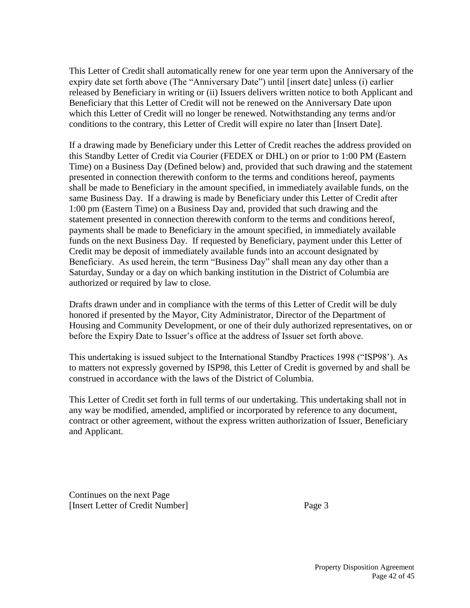This Letter of Credit shall automatically renew for one year term upon the Anniversary of the expiry date set forth above (The "Anniversary Date") until [insert date] unless (i) earlier released by Beneficiary in writing or (ii) Issuers delivers written notice to both Applicant and Beneficiary that this Letter of Credit will not be renewed on the Anniversary Date upon which this Letter of Credit will no longer be renewed. Notwithstanding any terms and/or conditions to the contrary, this Letter of Credit will expire no later than [Insert Date].

If a drawing made by Beneficiary under this Letter of Credit reaches the address provided on this Standby Letter of Credit via Courier (FEDEX or DHL) on or prior to 1:00 PM (Eastern Time) on a Business Day (Defined below) and, provided that such drawing and the statement presented in connection therewith conform to the terms and conditions hereof, payments shall be made to Beneficiary in the amount specified, in immediately available funds, on the same Business Day. If a drawing is made by Beneficiary under this Letter of Credit after 1:00 pm (Eastern Time) on a Business Day and, provided that such drawing and the statement presented in connection therewith conform to the terms and conditions hereof, payments shall be made to Beneficiary in the amount specified, in immediately available funds on the next Business Day. If requested by Beneficiary, payment under this Letter of Credit may be deposit of immediately available funds into an account designated by Beneficiary. As used herein, the term "Business Day" shall mean any day other than a Saturday, Sunday or a day on which banking institution in the District of Columbia are authorized or required by law to close.

Drafts drawn under and in compliance with the terms of this Letter of Credit will be duly honored if presented by the Mayor, City Administrator, Director of the Department of Housing and Community Development, or one of their duly authorized representatives, on or before the Expiry Date to Issuer's office at the address of Issuer set forth above.

This undertaking is issued subject to the International Standby Practices 1998 ("ISP98'). As to matters not expressly governed by ISP98, this Letter of Credit is governed by and shall be construed in accordance with the laws of the District of Columbia.

This Letter of Credit set forth in full terms of our undertaking. This undertaking shall not in any way be modified, amended, amplified or incorporated by reference to any document, contract or other agreement, without the express written authorization of Issuer, Beneficiary and Applicant.

Continues on the next Page [Insert Letter of Credit Number] Page 3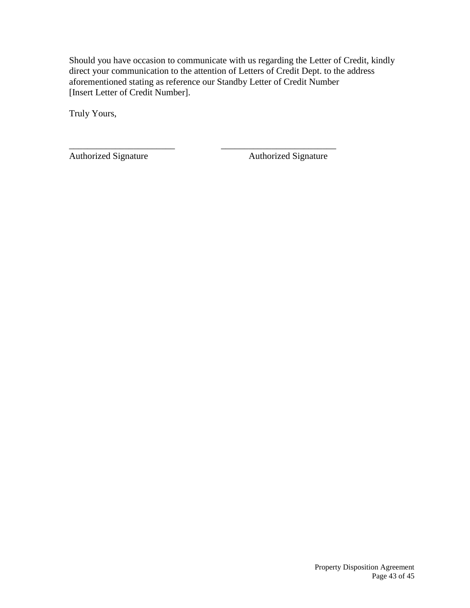Should you have occasion to communicate with us regarding the Letter of Credit, kindly direct your communication to the attention of Letters of Credit Dept. to the address aforementioned stating as reference our Standby Letter of Credit Number [Insert Letter of Credit Number].

\_\_\_\_\_\_\_\_\_\_\_\_\_\_\_\_\_\_\_\_\_\_\_ \_\_\_\_\_\_\_\_\_\_\_\_\_\_\_\_\_\_\_\_\_\_\_\_\_

Truly Yours,

Authorized Signature **Authorized Signature** Authorized Signature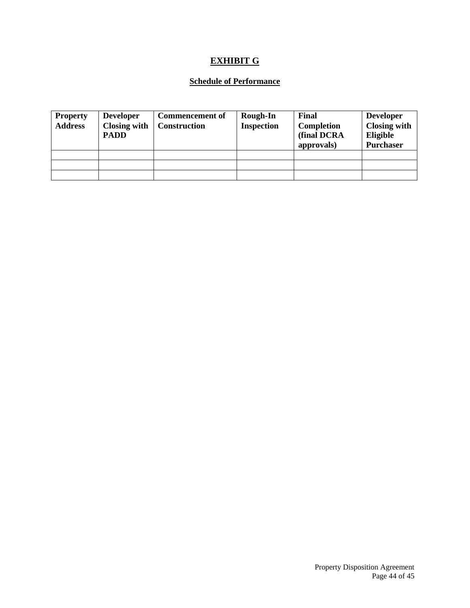# **EXHIBIT G**

## **Schedule of Performance**

| <b>Property</b><br><b>Address</b> | <b>Developer</b><br><b>Closing with</b><br><b>PADD</b> | Commencement of<br><b>Construction</b> | <b>Rough-In</b><br><b>Inspection</b> | <b>Final</b><br><b>Completion</b><br>(final DCRA<br>approvals) | <b>Developer</b><br><b>Closing with</b><br>Eligible<br><b>Purchaser</b> |
|-----------------------------------|--------------------------------------------------------|----------------------------------------|--------------------------------------|----------------------------------------------------------------|-------------------------------------------------------------------------|
|                                   |                                                        |                                        |                                      |                                                                |                                                                         |
|                                   |                                                        |                                        |                                      |                                                                |                                                                         |
|                                   |                                                        |                                        |                                      |                                                                |                                                                         |